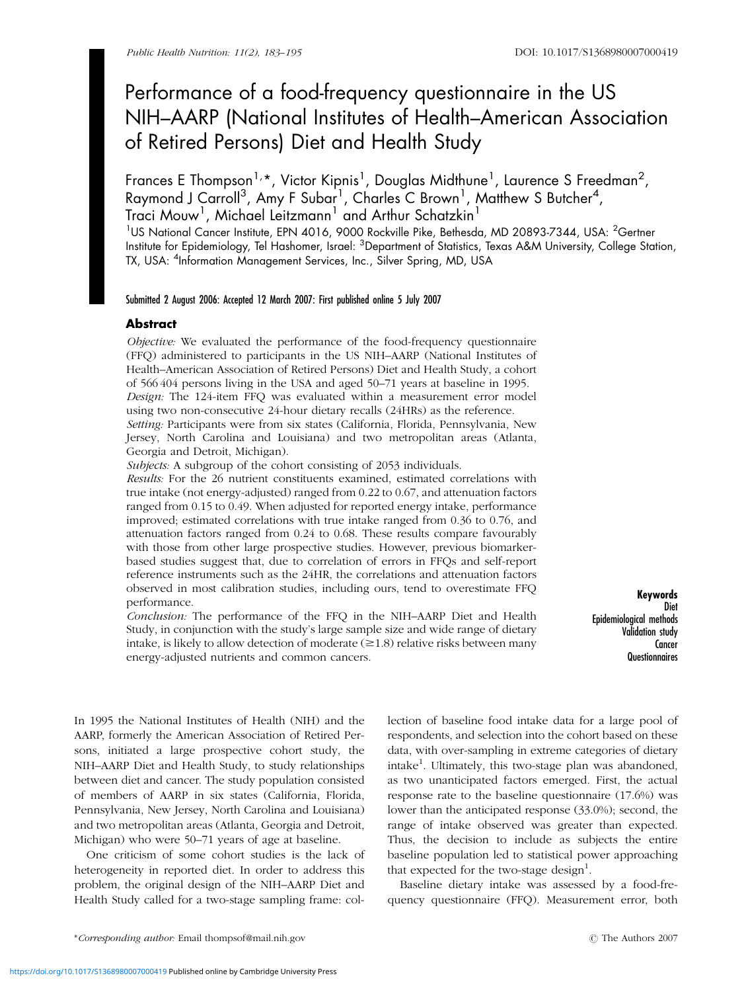# Performance of a food-frequency questionnaire in the US NIH–AARP (National Institutes of Health–American Association of Retired Persons) Diet and Health Study

Frances E Thompson<sup>1,</sup>\*, Victor Kipnis<sup>1</sup>, Douglas Midthune<sup>1</sup>, Laurence S Freedman<sup>2</sup>, Raymond J Carroll<sup>3</sup>, Amy F Subar<sup>1</sup>, Charles C Brown<sup>1</sup>, Matthew S Butcher<sup>4</sup>, Traci Mouw $^{\rm l}$ , Michael Leitzmann $^{\rm l}$  and Arthur Schatzkin $^{\rm l}$ 

<sup>1</sup>US National Cancer Institute, EPN 4016, 9000 Rockville Pike, Bethesda, MD 20893-7344, USA: <sup>2</sup>Gertner Institute for Epidemiology, Tel Hashomer, Israel: <sup>3</sup>Department of Statistics, Texas A&M University, College Station, TX, USA: <sup>4</sup> Information Management Services, Inc., Silver Spring, MD, USA

# Submitted 2 August 2006: Accepted 12 March 2007: First published online 5 July 2007

# **Abstract**

Objective: We evaluated the performance of the food-frequency questionnaire (FFQ) administered to participants in the US NIH–AARP (National Institutes of Health–American Association of Retired Persons) Diet and Health Study, a cohort of 566 404 persons living in the USA and aged 50–71 years at baseline in 1995. Design: The 124-item FFQ was evaluated within a measurement error model using two non-consecutive 24-hour dietary recalls (24HRs) as the reference. Setting: Participants were from six states (California, Florida, Pennsylvania, New Jersey, North Carolina and Louisiana) and two metropolitan areas (Atlanta, Georgia and Detroit, Michigan).

Subjects: A subgroup of the cohort consisting of 2053 individuals.

Results: For the 26 nutrient constituents examined, estimated correlations with true intake (not energy-adjusted) ranged from 0.22 to 0.67, and attenuation factors ranged from 0.15 to 0.49. When adjusted for reported energy intake, performance improved; estimated correlations with true intake ranged from 0.36 to 0.76, and attenuation factors ranged from 0.24 to 0.68. These results compare favourably with those from other large prospective studies. However, previous biomarkerbased studies suggest that, due to correlation of errors in FFQs and self-report reference instruments such as the 24HR, the correlations and attenuation factors observed in most calibration studies, including ours, tend to overestimate FFQ performance.

Conclusion: The performance of the FFQ in the NIH–AARP Diet and Health Study, in conjunction with the study's large sample size and wide range of dietary intake, is likely to allow detection of moderate  $(\geq 1.8)$  relative risks between many energy-adjusted nutrients and common cancers.

Keywords Diet Epidemiological methods Validation study **Cancer Questionnaires** 

In 1995 the National Institutes of Health (NIH) and the AARP, formerly the American Association of Retired Persons, initiated a large prospective cohort study, the NIH–AARP Diet and Health Study, to study relationships between diet and cancer. The study population consisted of members of AARP in six states (California, Florida, Pennsylvania, New Jersey, North Carolina and Louisiana) and two metropolitan areas (Atlanta, Georgia and Detroit, Michigan) who were 50–71 years of age at baseline.

One criticism of some cohort studies is the lack of heterogeneity in reported diet. In order to address this problem, the original design of the NIH–AARP Diet and Health Study called for a two-stage sampling frame: collection of baseline food intake data for a large pool of respondents, and selection into the cohort based on these data, with over-sampling in extreme categories of dietary intake<sup>1</sup>. Ultimately, this two-stage plan was abandoned, as two unanticipated factors emerged. First, the actual response rate to the baseline questionnaire (17.6%) was lower than the anticipated response (33.0%); second, the range of intake observed was greater than expected. Thus, the decision to include as subjects the entire baseline population led to statistical power approaching that expected for the two-stage design<sup>1</sup>.

Baseline dietary intake was assessed by a food-frequency questionnaire (FFQ). Measurement error, both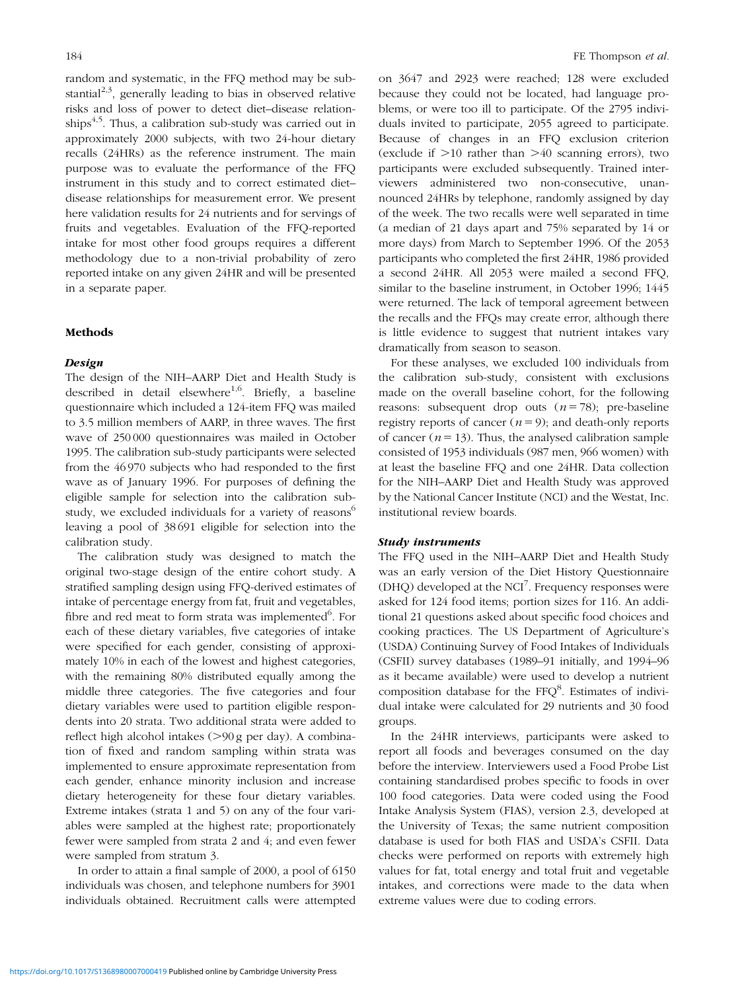random and systematic, in the FFQ method may be substantial<sup>2,3</sup>, generally leading to bias in observed relative risks and loss of power to detect diet–disease relationships $4.5$ . Thus, a calibration sub-study was carried out in approximately 2000 subjects, with two 24-hour dietary recalls (24HRs) as the reference instrument. The main purpose was to evaluate the performance of the FFQ instrument in this study and to correct estimated diet– disease relationships for measurement error. We present here validation results for 24 nutrients and for servings of fruits and vegetables. Evaluation of the FFQ-reported intake for most other food groups requires a different methodology due to a non-trivial probability of zero reported intake on any given 24HR and will be presented in a separate paper.

#### **Methods**

#### **Design**

The design of the NIH–AARP Diet and Health Study is described in detail elsewhere<sup>1,6</sup>. Briefly, a baseline questionnaire which included a 124-item FFQ was mailed to 3.5 million members of AARP, in three waves. The first wave of 250 000 questionnaires was mailed in October 1995. The calibration sub-study participants were selected from the 46 970 subjects who had responded to the first wave as of January 1996. For purposes of defining the eligible sample for selection into the calibration substudy, we excluded individuals for a variety of reasons $6$ leaving a pool of 38 691 eligible for selection into the calibration study.

The calibration study was designed to match the original two-stage design of the entire cohort study. A stratified sampling design using FFQ-derived estimates of intake of percentage energy from fat, fruit and vegetables, fibre and red meat to form strata was implemented<sup>6</sup>. For each of these dietary variables, five categories of intake were specified for each gender, consisting of approximately 10% in each of the lowest and highest categories, with the remaining 80% distributed equally among the middle three categories. The five categories and four dietary variables were used to partition eligible respondents into 20 strata. Two additional strata were added to reflect high alcohol intakes  $(>90 g$  per day). A combination of fixed and random sampling within strata was implemented to ensure approximate representation from each gender, enhance minority inclusion and increase dietary heterogeneity for these four dietary variables. Extreme intakes (strata 1 and 5) on any of the four variables were sampled at the highest rate; proportionately fewer were sampled from strata 2 and 4; and even fewer were sampled from stratum 3.

In order to attain a final sample of 2000, a pool of 6150 individuals was chosen, and telephone numbers for 3901 individuals obtained. Recruitment calls were attempted on 3647 and 2923 were reached; 128 were excluded because they could not be located, had language problems, or were too ill to participate. Of the 2795 individuals invited to participate, 2055 agreed to participate. Because of changes in an FFQ exclusion criterion (exclude if  $>10$  rather than  $>40$  scanning errors), two participants were excluded subsequently. Trained interviewers administered two non-consecutive, unannounced 24HRs by telephone, randomly assigned by day of the week. The two recalls were well separated in time (a median of 21 days apart and 75% separated by 14 or more days) from March to September 1996. Of the 2053 participants who completed the first 24HR, 1986 provided a second 24HR. All 2053 were mailed a second FFQ, similar to the baseline instrument, in October 1996; 1445 were returned. The lack of temporal agreement between the recalls and the FFQs may create error, although there is little evidence to suggest that nutrient intakes vary dramatically from season to season.

For these analyses, we excluded 100 individuals from the calibration sub-study, consistent with exclusions made on the overall baseline cohort, for the following reasons: subsequent drop outs  $(n = 78)$ ; pre-baseline registry reports of cancer  $(n=9)$ ; and death-only reports of cancer ( $n = 13$ ). Thus, the analysed calibration sample consisted of 1953 individuals (987 men, 966 women) with at least the baseline FFQ and one 24HR. Data collection for the NIH–AARP Diet and Health Study was approved by the National Cancer Institute (NCI) and the Westat, Inc. institutional review boards.

# Study instruments

The FFQ used in the NIH–AARP Diet and Health Study was an early version of the Diet History Questionnaire (DHQ) developed at the NCI<sup>7</sup>. Frequency responses were asked for 124 food items; portion sizes for 116. An additional 21 questions asked about specific food choices and cooking practices. The US Department of Agriculture's (USDA) Continuing Survey of Food Intakes of Individuals (CSFII) survey databases (1989–91 initially, and 1994–96 as it became available) were used to develop a nutrient composition database for the  $FFQ<sup>8</sup>$ . Estimates of individual intake were calculated for 29 nutrients and 30 food groups.

In the 24HR interviews, participants were asked to report all foods and beverages consumed on the day before the interview. Interviewers used a Food Probe List containing standardised probes specific to foods in over 100 food categories. Data were coded using the Food Intake Analysis System (FIAS), version 2.3, developed at the University of Texas; the same nutrient composition database is used for both FIAS and USDA's CSFII. Data checks were performed on reports with extremely high values for fat, total energy and total fruit and vegetable intakes, and corrections were made to the data when extreme values were due to coding errors.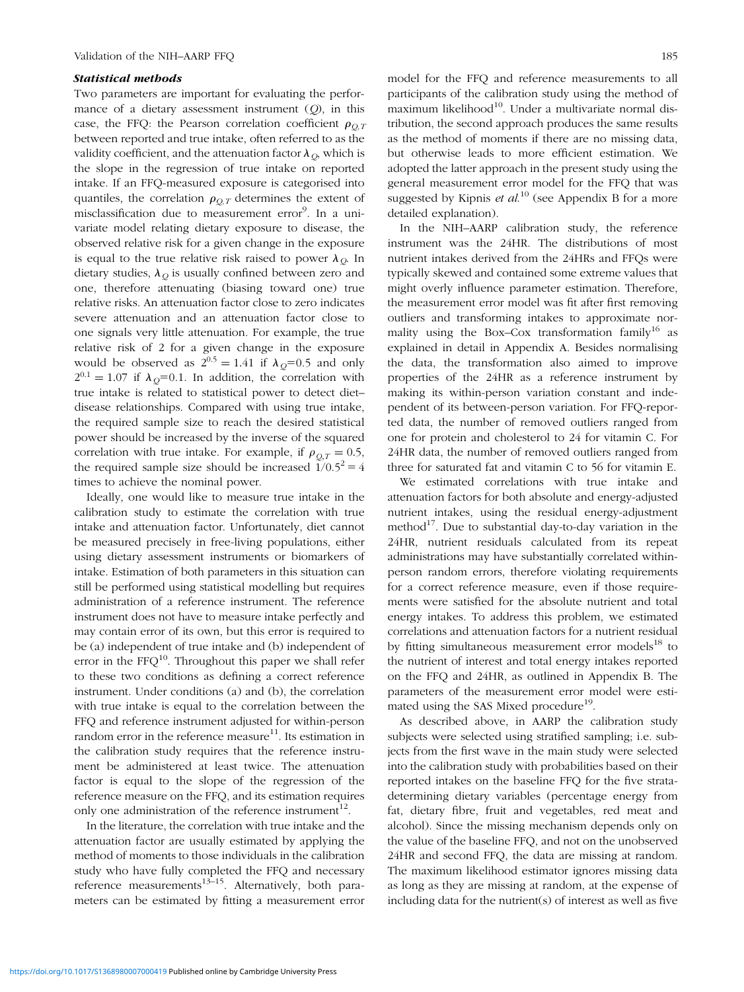#### Statistical methods

Two parameters are important for evaluating the performance of a dietary assessment instrument  $(O)$ , in this case, the FFQ: the Pearson correlation coefficient  $\rho_{OT}$ between reported and true intake, often referred to as the validity coefficient, and the attenuation factor  $\lambda_{\Omega}$ , which is the slope in the regression of true intake on reported intake. If an FFQ-measured exposure is categorised into quantiles, the correlation  $\rho_{O,T}$  determines the extent of misclassification due to measurement error<sup>9</sup>. In a univariate model relating dietary exposure to disease, the observed relative risk for a given change in the exposure is equal to the true relative risk raised to power  $\lambda_Q$ . In dietary studies,  $\lambda$ <sup>O</sup> is usually confined between zero and one, therefore attenuating (biasing toward one) true relative risks. An attenuation factor close to zero indicates severe attenuation and an attenuation factor close to one signals very little attenuation. For example, the true relative risk of 2 for a given change in the exposure would be observed as  $2^{0.5} = 1.41$  if  $\lambda_{\Omega} = 0.5$  and only  $2^{0.1} = 1.07$  if  $\lambda_{\mathcal{Q}} = 0.1$ . In addition, the correlation with true intake is related to statistical power to detect diet– disease relationships. Compared with using true intake, the required sample size to reach the desired statistical power should be increased by the inverse of the squared correlation with true intake. For example, if  $\rho_{0,T} = 0.5$ , the required sample size should be increased  $1/0.5^2 = 4$ times to achieve the nominal power.

Ideally, one would like to measure true intake in the calibration study to estimate the correlation with true intake and attenuation factor. Unfortunately, diet cannot be measured precisely in free-living populations, either using dietary assessment instruments or biomarkers of intake. Estimation of both parameters in this situation can still be performed using statistical modelling but requires administration of a reference instrument. The reference instrument does not have to measure intake perfectly and may contain error of its own, but this error is required to be (a) independent of true intake and (b) independent of error in the  $FFQ^{10}$ . Throughout this paper we shall refer to these two conditions as defining a correct reference instrument. Under conditions (a) and (b), the correlation with true intake is equal to the correlation between the FFQ and reference instrument adjusted for within-person random error in the reference measure $11$ . Its estimation in the calibration study requires that the reference instrument be administered at least twice. The attenuation factor is equal to the slope of the regression of the reference measure on the FFQ, and its estimation requires only one administration of the reference instrument $^{12}$ .

In the literature, the correlation with true intake and the attenuation factor are usually estimated by applying the method of moments to those individuals in the calibration study who have fully completed the FFQ and necessary reference measurements $13-15$ . Alternatively, both parameters can be estimated by fitting a measurement error model for the FFQ and reference measurements to all participants of the calibration study using the method of maximum likelihood<sup>10</sup>. Under a multivariate normal distribution, the second approach produces the same results as the method of moments if there are no missing data, but otherwise leads to more efficient estimation. We adopted the latter approach in the present study using the general measurement error model for the FFQ that was suggested by Kipnis et  $al^{10}$  (see Appendix B for a more detailed explanation).

In the NIH–AARP calibration study, the reference instrument was the 24HR. The distributions of most nutrient intakes derived from the 24HRs and FFQs were typically skewed and contained some extreme values that might overly influence parameter estimation. Therefore, the measurement error model was fit after first removing outliers and transforming intakes to approximate normality using the Box–Cox transformation family<sup>16</sup> as explained in detail in Appendix A. Besides normalising the data, the transformation also aimed to improve properties of the 24HR as a reference instrument by making its within-person variation constant and independent of its between-person variation. For FFQ-reported data, the number of removed outliers ranged from one for protein and cholesterol to 24 for vitamin C. For 24HR data, the number of removed outliers ranged from three for saturated fat and vitamin C to 56 for vitamin E.

We estimated correlations with true intake and attenuation factors for both absolute and energy-adjusted nutrient intakes, using the residual energy-adjustment method $^{17}$ . Due to substantial day-to-day variation in the 24HR, nutrient residuals calculated from its repeat administrations may have substantially correlated withinperson random errors, therefore violating requirements for a correct reference measure, even if those requirements were satisfied for the absolute nutrient and total energy intakes. To address this problem, we estimated correlations and attenuation factors for a nutrient residual by fitting simultaneous measurement error models<sup>18</sup> to the nutrient of interest and total energy intakes reported on the FFQ and 24HR, as outlined in Appendix B. The parameters of the measurement error model were estimated using the SAS Mixed procedure<sup>19</sup>.

As described above, in AARP the calibration study subjects were selected using stratified sampling; i.e. subjects from the first wave in the main study were selected into the calibration study with probabilities based on their reported intakes on the baseline FFQ for the five stratadetermining dietary variables (percentage energy from fat, dietary fibre, fruit and vegetables, red meat and alcohol). Since the missing mechanism depends only on the value of the baseline FFQ, and not on the unobserved 24HR and second FFQ, the data are missing at random. The maximum likelihood estimator ignores missing data as long as they are missing at random, at the expense of including data for the nutrient(s) of interest as well as five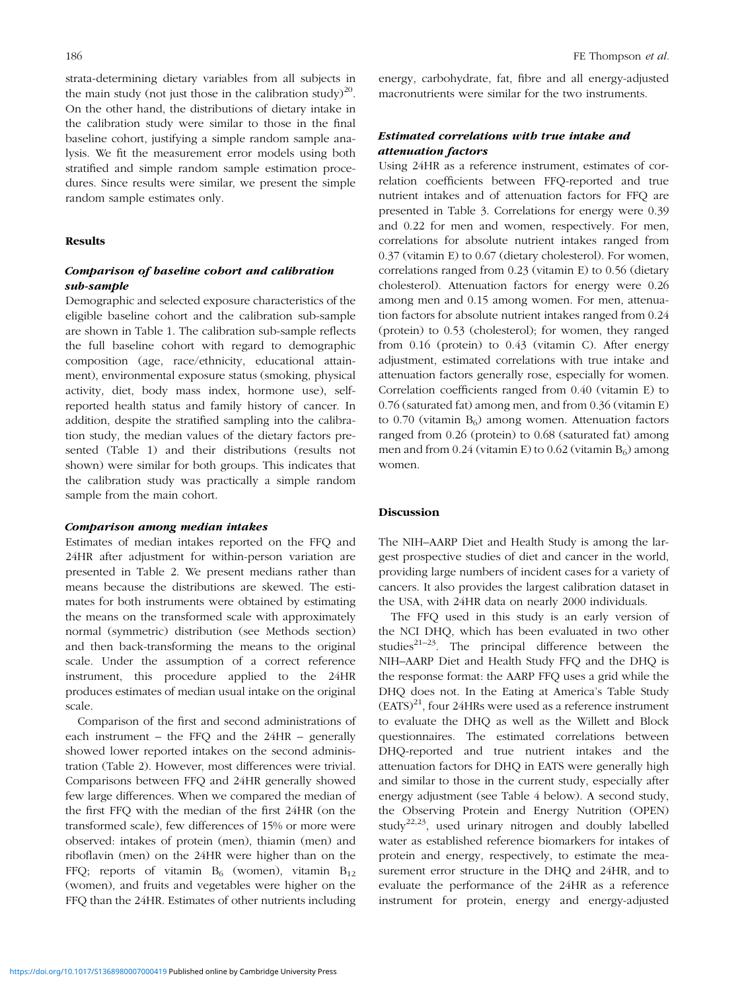strata-determining dietary variables from all subjects in the main study (not just those in the calibration study)<sup>20</sup>. On the other hand, the distributions of dietary intake in the calibration study were similar to those in the final baseline cohort, justifying a simple random sample analysis. We fit the measurement error models using both stratified and simple random sample estimation procedures. Since results were similar, we present the simple random sample estimates only.

# Results

# Comparison of baseline cohort and calibration sub-sample

Demographic and selected exposure characteristics of the eligible baseline cohort and the calibration sub-sample are shown in Table 1. The calibration sub-sample reflects the full baseline cohort with regard to demographic composition (age, race/ethnicity, educational attainment), environmental exposure status (smoking, physical activity, diet, body mass index, hormone use), selfreported health status and family history of cancer. In addition, despite the stratified sampling into the calibration study, the median values of the dietary factors presented (Table 1) and their distributions (results not shown) were similar for both groups. This indicates that the calibration study was practically a simple random sample from the main cohort.

#### Comparison among median intakes

Estimates of median intakes reported on the FFQ and 24HR after adjustment for within-person variation are presented in Table 2. We present medians rather than means because the distributions are skewed. The estimates for both instruments were obtained by estimating the means on the transformed scale with approximately normal (symmetric) distribution (see Methods section) and then back-transforming the means to the original scale. Under the assumption of a correct reference instrument, this procedure applied to the 24HR produces estimates of median usual intake on the original scale.

Comparison of the first and second administrations of each instrument – the FFQ and the 24HR – generally showed lower reported intakes on the second administration (Table 2). However, most differences were trivial. Comparisons between FFQ and 24HR generally showed few large differences. When we compared the median of the first FFQ with the median of the first 24HR (on the transformed scale), few differences of 15% or more were observed: intakes of protein (men), thiamin (men) and riboflavin (men) on the 24HR were higher than on the FFQ; reports of vitamin  $B_6$  (women), vitamin  $B_{12}$ (women), and fruits and vegetables were higher on the FFQ than the 24HR. Estimates of other nutrients including

energy, carbohydrate, fat, fibre and all energy-adjusted macronutrients were similar for the two instruments.

# Estimated correlations with true intake and attenuation factors

Using 24HR as a reference instrument, estimates of correlation coefficients between FFQ-reported and true nutrient intakes and of attenuation factors for FFQ are presented in Table 3. Correlations for energy were 0.39 and 0.22 for men and women, respectively. For men, correlations for absolute nutrient intakes ranged from 0.37 (vitamin E) to 0.67 (dietary cholesterol). For women, correlations ranged from 0.23 (vitamin E) to 0.56 (dietary cholesterol). Attenuation factors for energy were 0.26 among men and 0.15 among women. For men, attenuation factors for absolute nutrient intakes ranged from 0.24 (protein) to 0.53 (cholesterol); for women, they ranged from 0.16 (protein) to 0.43 (vitamin C). After energy adjustment, estimated correlations with true intake and attenuation factors generally rose, especially for women. Correlation coefficients ranged from 0.40 (vitamin E) to 0.76 (saturated fat) among men, and from 0.36 (vitamin E) to  $0.70$  (vitamin  $B_6$ ) among women. Attenuation factors ranged from 0.26 (protein) to 0.68 (saturated fat) among men and from  $0.24$  (vitamin E) to  $0.62$  (vitamin B<sub>6</sub>) among women.

# Discussion

The NIH–AARP Diet and Health Study is among the largest prospective studies of diet and cancer in the world, providing large numbers of incident cases for a variety of cancers. It also provides the largest calibration dataset in the USA, with 24HR data on nearly 2000 individuals.

The FFQ used in this study is an early version of the NCI DHQ, which has been evaluated in two other studies $2^{21-23}$ . The principal difference between the NIH–AARP Diet and Health Study FFQ and the DHQ is the response format: the AARP FFQ uses a grid while the DHQ does not. In the Eating at America's Table Study  $(EATS)^{21}$ , four 24HRs were used as a reference instrument to evaluate the DHQ as well as the Willett and Block questionnaires. The estimated correlations between DHQ-reported and true nutrient intakes and the attenuation factors for DHQ in EATS were generally high and similar to those in the current study, especially after energy adjustment (see Table 4 below). A second study, the Observing Protein and Energy Nutrition (OPEN) study<sup>22,23</sup>, used urinary nitrogen and doubly labelled water as established reference biomarkers for intakes of protein and energy, respectively, to estimate the measurement error structure in the DHQ and 24HR, and to evaluate the performance of the 24HR as a reference instrument for protein, energy and energy-adjusted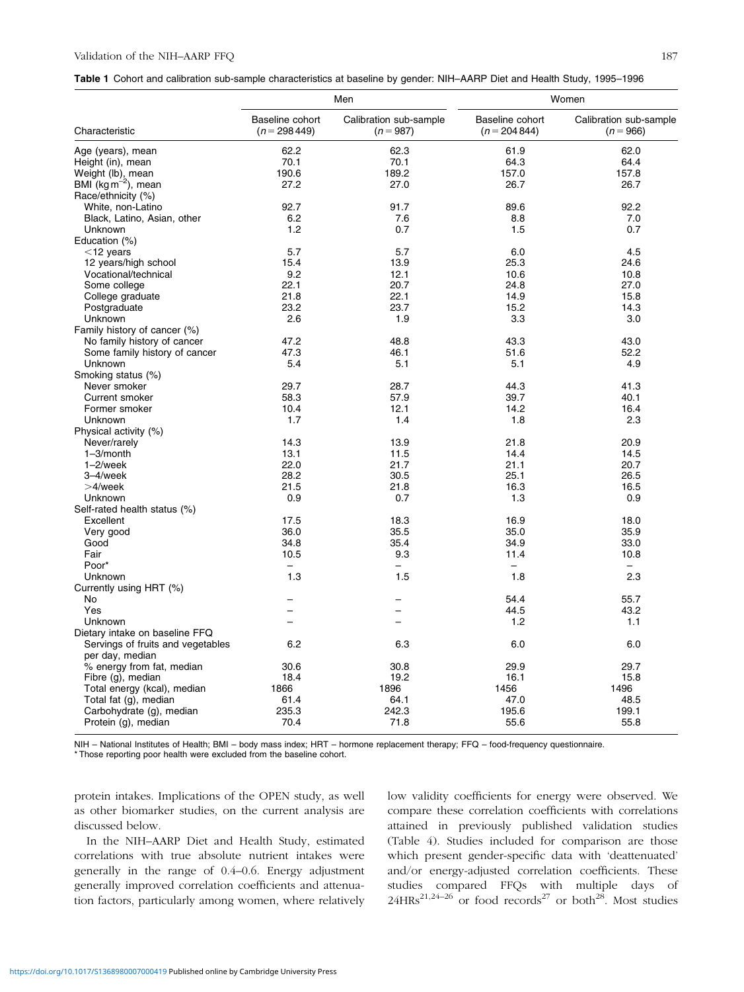|                                   |                                   | Men                                   | Women                             |                                       |  |  |  |
|-----------------------------------|-----------------------------------|---------------------------------------|-----------------------------------|---------------------------------------|--|--|--|
| Characteristic                    | Baseline cohort<br>$(n = 298449)$ | Calibration sub-sample<br>$(n = 987)$ | Baseline cohort<br>$(n = 204844)$ | Calibration sub-sample<br>$(n = 966)$ |  |  |  |
| Age (years), mean                 | 62.2                              | 62.3                                  | 61.9                              | 62.0                                  |  |  |  |
| Height (in), mean                 | 70.1                              | 70.1                                  | 64.3                              | 64.4                                  |  |  |  |
| Weight (lb), mean                 | 190.6                             | 189.2                                 | 157.0                             | 157.8                                 |  |  |  |
| BMI ( $\text{kg m}^{-2}$ ), mean  | 27.2                              | 27.0                                  | 26.7                              | 26.7                                  |  |  |  |
| Race/ethnicity (%)                |                                   |                                       |                                   |                                       |  |  |  |
| White, non-Latino                 | 92.7                              | 91.7                                  | 89.6                              | 92.2                                  |  |  |  |
| Black, Latino, Asian, other       | 6.2                               | 7.6                                   | 8.8                               | 7.0                                   |  |  |  |
| Unknown                           | 1.2                               | 0.7                                   | 1.5                               | 0.7                                   |  |  |  |
| Education (%)                     |                                   |                                       |                                   |                                       |  |  |  |
| $<$ 12 years                      | 5.7                               | 5.7                                   | 6.0                               | 4.5                                   |  |  |  |
| 12 years/high school              | 15.4                              | 13.9                                  | 25.3                              | 24.6                                  |  |  |  |
| Vocational/technical              | 9.2                               | 12.1                                  | 10.6                              | 10.8                                  |  |  |  |
| Some college                      | 22.1                              | 20.7                                  | 24.8                              | 27.0                                  |  |  |  |
| College graduate                  | 21.8                              | 22.1                                  | 14.9                              | 15.8                                  |  |  |  |
| Postgraduate                      | 23.2                              | 23.7                                  | 15.2                              | 14.3                                  |  |  |  |
| Unknown                           | 2.6                               | 1.9                                   | 3.3                               | 3.0                                   |  |  |  |
|                                   |                                   |                                       |                                   |                                       |  |  |  |
| Family history of cancer (%)      | 47.2                              | 48.8                                  | 43.3                              | 43.0                                  |  |  |  |
| No family history of cancer       |                                   |                                       |                                   |                                       |  |  |  |
| Some family history of cancer     | 47.3                              | 46.1                                  | 51.6                              | 52.2                                  |  |  |  |
| Unknown                           | 5.4                               | 5.1                                   | 5.1                               | 4.9                                   |  |  |  |
| Smoking status (%)                |                                   |                                       |                                   |                                       |  |  |  |
| Never smoker                      | 29.7                              | 28.7                                  | 44.3                              | 41.3                                  |  |  |  |
| Current smoker                    | 58.3                              | 57.9                                  | 39.7                              | 40.1                                  |  |  |  |
| Former smoker                     | 10.4                              | 12.1                                  | 14.2                              | 16.4                                  |  |  |  |
| Unknown                           | 1.7                               | 1.4                                   | 1.8                               | 2.3                                   |  |  |  |
| Physical activity (%)             |                                   |                                       |                                   |                                       |  |  |  |
| Never/rarely                      | 14.3                              | 13.9                                  | 21.8                              | 20.9                                  |  |  |  |
| $1 - 3$ /month                    | 13.1                              | 11.5                                  | 14.4                              | 14.5                                  |  |  |  |
| $1-2$ /week                       | 22.0                              | 21.7                                  | 21.1                              | 20.7                                  |  |  |  |
| 3-4/week                          | 28.2                              | 30.5                                  | 25.1                              | 26.5                                  |  |  |  |
| $>4$ /week                        | 21.5                              | 21.8                                  | 16.3                              | 16.5                                  |  |  |  |
| Unknown                           | 0.9                               | 0.7                                   | 1.3                               | 0.9                                   |  |  |  |
| Self-rated health status (%)      |                                   |                                       |                                   |                                       |  |  |  |
| Excellent                         | 17.5                              | 18.3                                  | 16.9                              | 18.0                                  |  |  |  |
| Very good                         | 36.0                              | 35.5                                  | 35.0                              | 35.9                                  |  |  |  |
| Good                              | 34.8                              | 35.4                                  | 34.9                              | 33.0                                  |  |  |  |
| Fair                              | 10.5                              | 9.3                                   | 11.4                              | 10.8                                  |  |  |  |
| Poor*                             | $\overline{\phantom{0}}$          | $\overline{\phantom{0}}$              | $\equiv$                          | $\overline{\phantom{0}}$              |  |  |  |
| Unknown                           | 1.3                               | 1.5                                   | 1.8                               | 2.3                                   |  |  |  |
| Currently using HRT (%)           |                                   |                                       |                                   |                                       |  |  |  |
| No                                |                                   |                                       | 54.4                              | 55.7                                  |  |  |  |
| Yes                               |                                   | $\overline{\phantom{0}}$              | 44.5                              | 43.2                                  |  |  |  |
| Unknown                           |                                   | $\overline{\phantom{0}}$              | 1.2                               | 1.1                                   |  |  |  |
| Dietary intake on baseline FFQ    |                                   |                                       |                                   |                                       |  |  |  |
| Servings of fruits and vegetables | 6.2                               | 6.3                                   | 6.0                               | 6.0                                   |  |  |  |
|                                   |                                   |                                       |                                   |                                       |  |  |  |
| per day, median                   |                                   |                                       |                                   |                                       |  |  |  |
| % energy from fat, median         | 30.6                              | 30.8                                  | 29.9                              | 29.7                                  |  |  |  |
| Fibre (g), median                 | 18.4                              | 19.2                                  | 16.1                              | 15.8                                  |  |  |  |
| Total energy (kcal), median       | 1866                              | 1896                                  | 1456                              | 1496                                  |  |  |  |
| Total fat (g), median             | 61.4                              | 64.1                                  | 47.0                              | 48.5                                  |  |  |  |
| Carbohydrate (g), median          | 235.3                             | 242.3                                 | 195.6                             | 199.1                                 |  |  |  |
| Protein (g), median               | 70.4                              | 71.8                                  | 55.6                              | 55.8                                  |  |  |  |

NIH – National Institutes of Health; BMI – body mass index; HRT – hormone replacement therapy; FFQ – food-frequency questionnaire. \* Those reporting poor health were excluded from the baseline cohort.

protein intakes. Implications of the OPEN study, as well as other biomarker studies, on the current analysis are discussed below.

In the NIH–AARP Diet and Health Study, estimated correlations with true absolute nutrient intakes were generally in the range of 0.4–0.6. Energy adjustment generally improved correlation coefficients and attenuation factors, particularly among women, where relatively low validity coefficients for energy were observed. We compare these correlation coefficients with correlations attained in previously published validation studies (Table 4). Studies included for comparison are those which present gender-specific data with 'deattenuated' and/or energy-adjusted correlation coefficients. These studies compared FFQs with multiple days of  $24HRs^{21,24-26}$  or food records<sup>27</sup> or both<sup>28</sup>. Most studies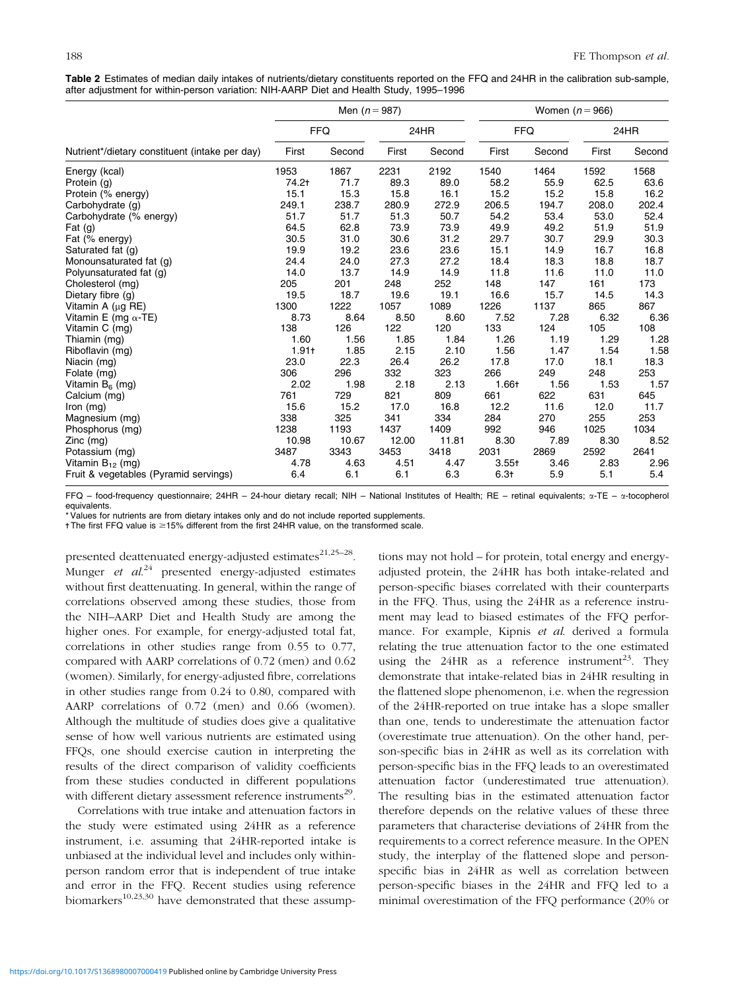| Table 2 Estimates of median daily intakes of nutrients/dietary constituents reported on the FFQ and 24HR in the calibration sub-sample, |  |  |
|-----------------------------------------------------------------------------------------------------------------------------------------|--|--|
| after adjustment for within-person variation: NIH-AARP Diet and Health Study, 1995–1996                                                 |  |  |

|                                                |            | Men $(n = 987)$ |       |        | Women $(n = 966)$ |        |       |        |  |
|------------------------------------------------|------------|-----------------|-------|--------|-------------------|--------|-------|--------|--|
|                                                | <b>FFQ</b> |                 |       | 24HR   | <b>FFQ</b>        |        | 24HR  |        |  |
| Nutrient*/dietary constituent (intake per day) | First      | Second          | First | Second | First             | Second | First | Second |  |
| Energy (kcal)                                  | 1953       | 1867            | 2231  | 2192   | 1540              | 1464   | 1592  | 1568   |  |
| Protein (g)                                    | 74.2+      | 71.7            | 89.3  | 89.0   | 58.2              | 55.9   | 62.5  | 63.6   |  |
| Protein (% energy)                             | 15.1       | 15.3            | 15.8  | 16.1   | 15.2              | 15.2   | 15.8  | 16.2   |  |
| Carbohydrate (g)                               | 249.1      | 238.7           | 280.9 | 272.9  | 206.5             | 194.7  | 208.0 | 202.4  |  |
| Carbohydrate (% energy)                        | 51.7       | 51.7            | 51.3  | 50.7   | 54.2              | 53.4   | 53.0  | 52.4   |  |
| Fat (g)                                        | 64.5       | 62.8            | 73.9  | 73.9   | 49.9              | 49.2   | 51.9  | 51.9   |  |
| Fat (% energy)                                 | 30.5       | 31.0            | 30.6  | 31.2   | 29.7              | 30.7   | 29.9  | 30.3   |  |
| Saturated fat (g)                              | 19.9       | 19.2            | 23.6  | 23.6   | 15.1              | 14.9   | 16.7  | 16.8   |  |
| Monounsaturated fat (g)                        | 24.4       | 24.0            | 27.3  | 27.2   | 18.4              | 18.3   | 18.8  | 18.7   |  |
| Polyunsaturated fat (g)                        | 14.0       | 13.7            | 14.9  | 14.9   | 11.8              | 11.6   | 11.0  | 11.0   |  |
| Cholesterol (mg)                               | 205        | 201             | 248   | 252    | 148               | 147    | 161   | 173    |  |
| Dietary fibre (g)                              | 19.5       | 18.7            | 19.6  | 19.1   | 16.6              | 15.7   | 14.5  | 14.3   |  |
| Vitamin A $(\mu g \nR E)$                      | 1300       | 1222            | 1057  | 1089   | 1226              | 1137   | 865   | 867    |  |
| Vitamin E (mg $\alpha$ -TE)                    | 8.73       | 8.64            | 8.50  | 8.60   | 7.52              | 7.28   | 6.32  | 6.36   |  |
| Vitamin C (mg)                                 | 138        | 126             | 122   | 120    | 133               | 124    | 105   | 108    |  |
| Thiamin (mg)                                   | 1.60       | 1.56            | 1.85  | 1.84   | 1.26              | 1.19   | 1.29  | 1.28   |  |
| Riboflavin (mg)                                | $1.91 +$   | 1.85            | 2.15  | 2.10   | 1.56              | 1.47   | 1.54  | 1.58   |  |
| Niacin (mg)                                    | 23.0       | 22.3            | 26.4  | 26.2   | 17.8              | 17.0   | 18.1  | 18.3   |  |
| Folate (mg)                                    | 306        | 296             | 332   | 323    | 266               | 249    | 248   | 253    |  |
| Vitamin $B_6$ (mg)                             | 2.02       | 1.98            | 2.18  | 2.13   | 1.66+             | 1.56   | 1.53  | 1.57   |  |
| Calcium (mg)                                   | 761        | 729             | 821   | 809    | 661               | 622    | 631   | 645    |  |
| Iron $(mg)$                                    | 15.6       | 15.2            | 17.0  | 16.8   | 12.2              | 11.6   | 12.0  | 11.7   |  |
| Magnesium (mg)                                 | 338        | 325             | 341   | 334    | 284               | 270    | 255   | 253    |  |
| Phosphorus (mg)                                | 1238       | 1193            | 1437  | 1409   | 992               | 946    | 1025  | 1034   |  |
| $Zinc$ (mg)                                    | 10.98      | 10.67           | 12.00 | 11.81  | 8.30              | 7.89   | 8.30  | 8.52   |  |
| Potassium (mg)                                 | 3487       | 3343            | 3453  | 3418   | 2031              | 2869   | 2592  | 2641   |  |
| Vitamin $B_{12}$ (mg)                          | 4.78       | 4.63            | 4.51  | 4.47   | $3.55 +$          | 3.46   | 2.83  | 2.96   |  |
| Fruit & vegetables (Pyramid servings)          | 6.4        | 6.1             | 6.1   | 6.3    | $6.3+$            | 5.9    | 5.1   | 5.4    |  |

FFQ – food-frequency questionnaire; 24HR – 24-hour dietary recall; NIH – National Institutes of Health; RE – retinal equivalents;  $\alpha$ -TE –  $\alpha$ -tocopherol equivalents.

\* Values for nutrients are from dietary intakes only and do not include reported supplements.

 $+$  The first FFQ value is  $\geq$  15% different from the first 24HR value, on the transformed scale.

presented deattenuated energy-adjusted estimates $21,25-28$ . Munger *et al.*<sup>24</sup> presented energy-adjusted estimates without first deattenuating. In general, within the range of correlations observed among these studies, those from the NIH–AARP Diet and Health Study are among the higher ones. For example, for energy-adjusted total fat, correlations in other studies range from 0.55 to 0.77, compared with AARP correlations of 0.72 (men) and 0.62 (women). Similarly, for energy-adjusted fibre, correlations in other studies range from 0.24 to 0.80, compared with AARP correlations of 0.72 (men) and 0.66 (women). Although the multitude of studies does give a qualitative sense of how well various nutrients are estimated using FFQs, one should exercise caution in interpreting the results of the direct comparison of validity coefficients from these studies conducted in different populations with different dietary assessment reference instruments<sup>29</sup>.

Correlations with true intake and attenuation factors in the study were estimated using 24HR as a reference instrument, i.e. assuming that 24HR-reported intake is unbiased at the individual level and includes only withinperson random error that is independent of true intake and error in the FFQ. Recent studies using reference biomarkers<sup>10,23,30</sup> have demonstrated that these assumptions may not hold – for protein, total energy and energyadjusted protein, the 24HR has both intake-related and person-specific biases correlated with their counterparts in the FFQ. Thus, using the 24HR as a reference instrument may lead to biased estimates of the FFQ performance. For example, Kipnis et al. derived a formula relating the true attenuation factor to the one estimated using the 24HR as a reference instrument<sup>23</sup>. They demonstrate that intake-related bias in 24HR resulting in the flattened slope phenomenon, i.e. when the regression of the 24HR-reported on true intake has a slope smaller than one, tends to underestimate the attenuation factor (overestimate true attenuation). On the other hand, person-specific bias in 24HR as well as its correlation with person-specific bias in the FFQ leads to an overestimated attenuation factor (underestimated true attenuation). The resulting bias in the estimated attenuation factor therefore depends on the relative values of these three parameters that characterise deviations of 24HR from the requirements to a correct reference measure. In the OPEN study, the interplay of the flattened slope and personspecific bias in 24HR as well as correlation between person-specific biases in the 24HR and FFQ led to a minimal overestimation of the FFQ performance (20% or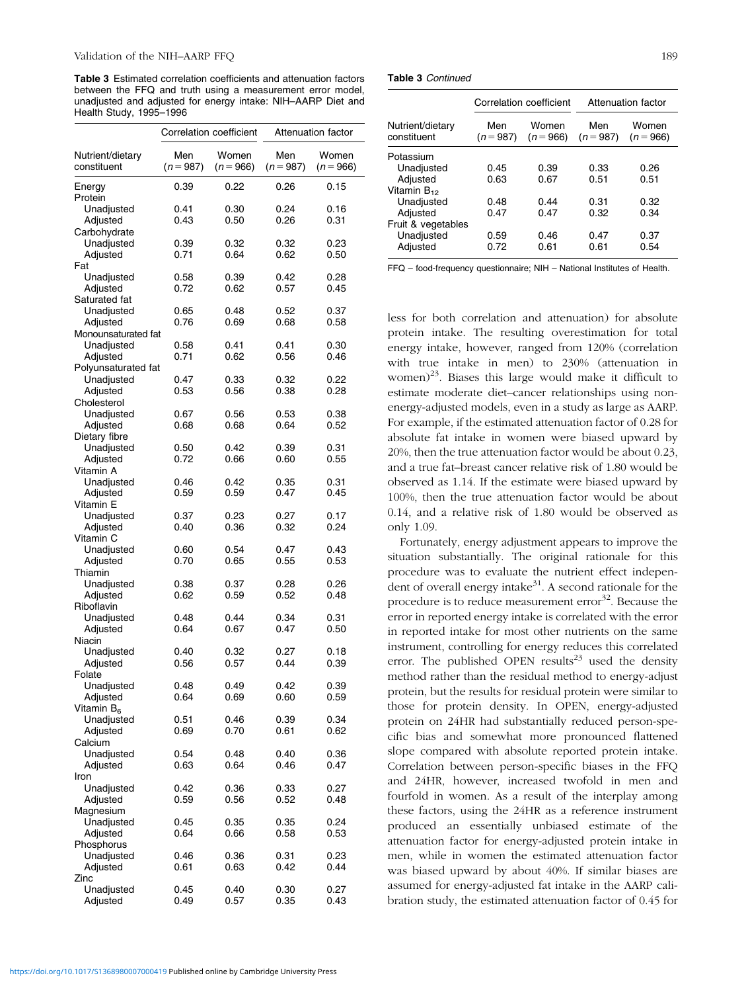Table 3 Estimated correlation coefficients and attenuation factors between the FFQ and truth using a measurement error model, unadjusted and adjusted for energy intake: NIH–AARP Diet and Health Study, 1995–1996

|                                   |                    | Correlation coefficient | <b>Attenuation factor</b> |                      |  |  |  |  |
|-----------------------------------|--------------------|-------------------------|---------------------------|----------------------|--|--|--|--|
| Nutrient/dietary<br>constituent   | Men<br>$(n = 987)$ | Women<br>$(n = 966)$    | Men<br>$(n = 987)$        | Women<br>$(n = 966)$ |  |  |  |  |
| Energy                            | 0.39               | 0.22                    | 0.26                      | 0.15                 |  |  |  |  |
| Protein                           |                    |                         |                           |                      |  |  |  |  |
| Unadjusted<br>Adjusted            | 0.41<br>0.43       | 0.30<br>0.50            | 0.24<br>0.26              | 0.16<br>0.31         |  |  |  |  |
| Carbohydrate                      |                    |                         |                           |                      |  |  |  |  |
| Unadjusted                        | 0.39               | 0.32                    | 0.32                      | 0.23                 |  |  |  |  |
| Adjusted                          | 0.71               | 0.64                    | 0.62                      | 0.50                 |  |  |  |  |
| Fat                               |                    |                         |                           |                      |  |  |  |  |
| Unadjusted                        | 0.58               | 0.39                    | 0.42                      | 0.28                 |  |  |  |  |
| Adjusted<br>Saturated fat         | 0.72               | 0.62                    | 0.57                      | 0.45                 |  |  |  |  |
| Unadjusted                        | 0.65               | 0.48                    | 0.52                      | 0.37                 |  |  |  |  |
| Adjusted                          | 0.76               | 0.69                    | 0.68                      | 0.58                 |  |  |  |  |
| Monounsaturated fat               |                    |                         |                           |                      |  |  |  |  |
| Unadjusted                        | 0.58               | 0.41                    | 0.41                      | 0.30                 |  |  |  |  |
| Adjusted                          | 0.71               | 0.62                    | 0.56                      | 0.46                 |  |  |  |  |
| Polyunsaturated fat<br>Unadjusted | 0.47               | 0.33                    | 0.32                      | 0.22                 |  |  |  |  |
| Adjusted                          | 0.53               | 0.56                    | 0.38                      | 0.28                 |  |  |  |  |
| Cholesterol                       |                    |                         |                           |                      |  |  |  |  |
| Unadjusted                        | 0.67               | 0.56                    | 0.53                      | 0.38                 |  |  |  |  |
| Adjusted                          | 0.68               | 0.68                    | 0.64                      | 0.52                 |  |  |  |  |
| Dietary fibre                     |                    |                         |                           |                      |  |  |  |  |
| Unadjusted<br>Adjusted            | 0.50<br>0.72       | 0.42<br>0.66            | 0.39<br>0.60              | 0.31<br>0.55         |  |  |  |  |
| Vitamin A                         |                    |                         |                           |                      |  |  |  |  |
| Unadjusted                        | 0.46               | 0.42                    | 0.35                      | 0.31                 |  |  |  |  |
| Adjusted                          | 0.59               | 0.59                    | 0.47                      | 0.45                 |  |  |  |  |
| Vitamin E                         |                    |                         |                           |                      |  |  |  |  |
| Unadjusted                        | 0.37               | 0.23                    | 0.27                      | 0.17                 |  |  |  |  |
| Adjusted<br>Vitamin C             | 0.40               | 0.36                    | 0.32                      | 0.24                 |  |  |  |  |
| Unadjusted                        | 0.60               | 0.54                    | 0.47                      | 0.43                 |  |  |  |  |
| Adjusted                          | 0.70               | 0.65                    | 0.55                      | 0.53                 |  |  |  |  |
| Thiamin                           |                    |                         |                           |                      |  |  |  |  |
| Unadjusted                        | 0.38               | 0.37                    | 0.28                      | 0.26                 |  |  |  |  |
| Adjusted<br>Riboflavin            | 0.62               | 0.59                    | 0.52                      | 0.48                 |  |  |  |  |
| Unadjusted                        | 0.48               | 0.44                    | 0.34                      | 0.31                 |  |  |  |  |
| Adjusted                          | 0.64               | 0.67                    | 0.47                      | 0.50                 |  |  |  |  |
| Niacin                            |                    |                         |                           |                      |  |  |  |  |
| Unadjusted                        | 0.40               | 0.32                    | 0.27                      | 0.18                 |  |  |  |  |
| Adjusted                          | 0.56               | 0.57                    | 0.44                      | 0.39                 |  |  |  |  |
| Folate<br>Unadjusted              | 0.48               | 0.49                    | 0.42                      | 0.39                 |  |  |  |  |
| Adjusted                          | 0.64               | 0.69                    | 0.60                      | 0.59                 |  |  |  |  |
| Vitamin B <sub>6</sub>            |                    |                         |                           |                      |  |  |  |  |
| Unadjusted                        | 0.51               | 0.46                    | 0.39                      | 0.34                 |  |  |  |  |
| Adjusted                          | 0.69               | 0.70                    | 0.61                      | 0.62                 |  |  |  |  |
| Calcium<br>Unadjusted             | 0.54               | 0.48                    | 0.40                      | 0.36                 |  |  |  |  |
| Adjusted                          | 0.63               | 0.64                    | 0.46                      | 0.47                 |  |  |  |  |
| Iron                              |                    |                         |                           |                      |  |  |  |  |
| Unadjusted                        | 0.42               | 0.36                    | 0.33                      | 0.27                 |  |  |  |  |
| Adjusted                          | 0.59               | 0.56                    | 0.52                      | 0.48                 |  |  |  |  |
| Magnesium                         |                    |                         |                           |                      |  |  |  |  |
| Unadjusted<br>Adjusted            | 0.45               | 0.35                    | 0.35<br>0.58              | 0.24                 |  |  |  |  |
| Phosphorus                        | 0.64               | 0.66                    |                           | 0.53                 |  |  |  |  |
| Unadjusted                        | 0.46               | 0.36                    | 0.31                      | 0.23                 |  |  |  |  |
| Adjusted                          | 0.61               | 0.63                    | 0.42                      | 0.44                 |  |  |  |  |
| Zinc                              |                    |                         |                           |                      |  |  |  |  |
| Unadjusted<br>Adjusted            | 0.45<br>0.49       | 0.40<br>0.57            | 0.30<br>0.35              | 0.27<br>0.43         |  |  |  |  |
|                                   |                    |                         |                           |                      |  |  |  |  |

|                                 |                    | Correlation coefficient | Attenuation factor |                      |  |  |  |
|---------------------------------|--------------------|-------------------------|--------------------|----------------------|--|--|--|
| Nutrient/dietary<br>constituent | Men<br>$(n = 987)$ | Women<br>$(n = 966)$    | Men<br>$(n = 987)$ | Women<br>$(n = 966)$ |  |  |  |
| Potassium                       |                    |                         |                    |                      |  |  |  |
| Unadjusted                      | 0.45               | 0.39                    | 0.33               | 0.26                 |  |  |  |
| Adjusted                        | 0.63               | 0.67                    | 0.51               | 0.51                 |  |  |  |
| Vitamin $B_{12}$                |                    |                         |                    |                      |  |  |  |
| Unadjusted                      | 0.48               | 0.44                    | 0.31               | 0.32                 |  |  |  |
| Adjusted                        | 0.47               | 0.47                    | 0.32               | 0.34                 |  |  |  |
| Fruit & vegetables              |                    |                         |                    |                      |  |  |  |
| Unadjusted                      | 0.59               | 0.46                    | 0.47               | 0.37                 |  |  |  |
| Adjusted                        | 0.72               | 0.61                    | 0.61               | 0.54                 |  |  |  |

FFQ – food-frequency questionnaire; NIH – National Institutes of Health.

less for both correlation and attenuation) for absolute protein intake. The resulting overestimation for total energy intake, however, ranged from 120% (correlation with true intake in men) to 230% (attenuation in women)<sup>23</sup>. Biases this large would make it difficult to estimate moderate diet–cancer relationships using nonenergy-adjusted models, even in a study as large as AARP. For example, if the estimated attenuation factor of 0.28 for absolute fat intake in women were biased upward by 20%, then the true attenuation factor would be about 0.23, and a true fat–breast cancer relative risk of 1.80 would be observed as 1.14. If the estimate were biased upward by 100%, then the true attenuation factor would be about 0.14, and a relative risk of 1.80 would be observed as only 1.09.

Fortunately, energy adjustment appears to improve the situation substantially. The original rationale for this procedure was to evaluate the nutrient effect independent of overall energy intake<sup>31</sup>. A second rationale for the procedure is to reduce measurement  $error<sup>32</sup>$ . Because the error in reported energy intake is correlated with the error in reported intake for most other nutrients on the same instrument, controlling for energy reduces this correlated error. The published OPEN results<sup>23</sup> used the density method rather than the residual method to energy-adjust protein, but the results for residual protein were similar to those for protein density. In OPEN, energy-adjusted protein on 24HR had substantially reduced person-specific bias and somewhat more pronounced flattened slope compared with absolute reported protein intake. Correlation between person-specific biases in the FFQ and 24HR, however, increased twofold in men and fourfold in women. As a result of the interplay among these factors, using the 24HR as a reference instrument produced an essentially unbiased estimate of the attenuation factor for energy-adjusted protein intake in men, while in women the estimated attenuation factor was biased upward by about 40%. If similar biases are assumed for energy-adjusted fat intake in the AARP calibration study, the estimated attenuation factor of 0.45 for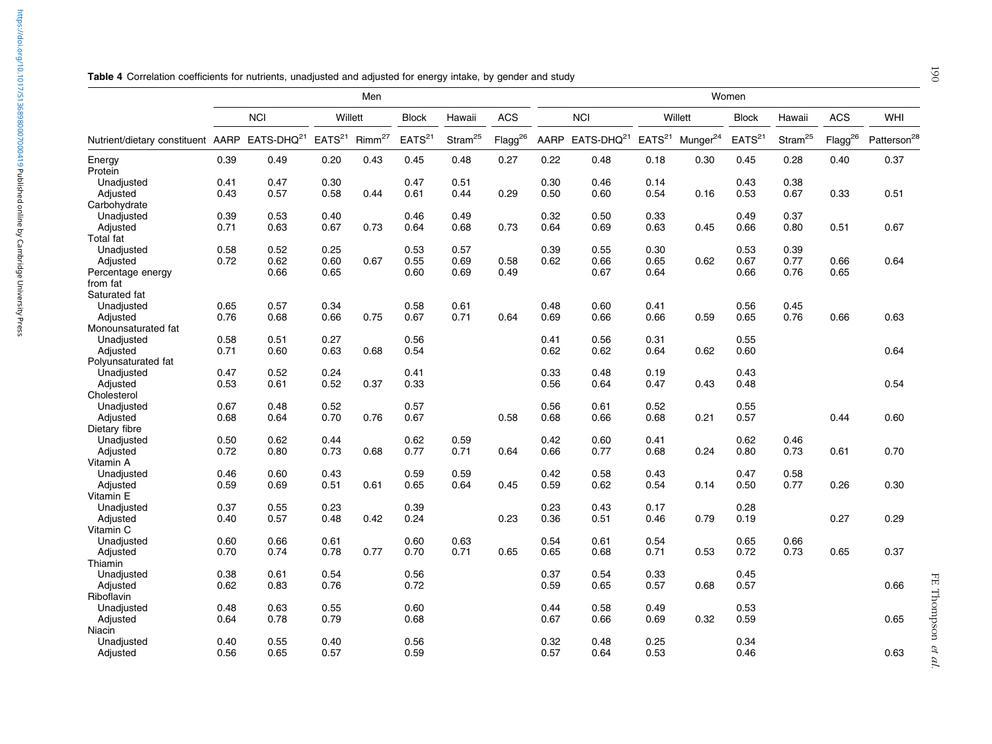|                                   | Men  |                        |                    |                    |                    |                     |                     | Women |                        |                    |                      |                    |                     |                     |                         |
|-----------------------------------|------|------------------------|--------------------|--------------------|--------------------|---------------------|---------------------|-------|------------------------|--------------------|----------------------|--------------------|---------------------|---------------------|-------------------------|
|                                   |      | <b>NCI</b>             | Willett            |                    | <b>Block</b>       | Hawaii              | <b>ACS</b>          |       | <b>NCI</b>             |                    | Willett              | <b>Block</b>       | Hawaii              | <b>ACS</b>          | WHI                     |
| Nutrient/dietary constituent AARP |      | EATS-DHQ <sup>21</sup> | EATS <sup>21</sup> | Rimm <sup>27</sup> | EATS <sup>21</sup> | Stram <sup>25</sup> | Flagg <sup>26</sup> | AARP  | EATS-DHQ <sup>21</sup> | EATS <sup>21</sup> | Munger <sup>24</sup> | EATS <sup>21</sup> | Stram <sup>25</sup> | Flagg <sup>26</sup> | Patterson <sup>28</sup> |
| Energy                            | 0.39 | 0.49                   | 0.20               | 0.43               | 0.45               | 0.48                | 0.27                | 0.22  | 0.48                   | 0.18               | 0.30                 | 0.45               | 0.28                | 0.40                | 0.37                    |
| Protein                           |      |                        |                    |                    |                    |                     |                     |       |                        |                    |                      |                    |                     |                     |                         |
| Unadjusted                        | 0.41 | 0.47                   | 0.30               |                    | 0.47               | 0.51                |                     | 0.30  | 0.46                   | 0.14               |                      | 0.43               | 0.38                |                     |                         |
| Adjusted                          | 0.43 | 0.57                   | 0.58               | 0.44               | 0.61               | 0.44                | 0.29                | 0.50  | 0.60                   | 0.54               | 0.16                 | 0.53               | 0.67                | 0.33                | 0.51                    |
| Carbohydrate                      |      |                        |                    |                    |                    |                     |                     |       |                        |                    |                      |                    |                     |                     |                         |
| Unadjusted                        | 0.39 | 0.53                   | 0.40               |                    | 0.46               | 0.49                |                     | 0.32  | 0.50                   | 0.33               |                      | 0.49               | 0.37                |                     |                         |
| Adjusted                          | 0.71 | 0.63                   | 0.67               | 0.73               | 0.64               | 0.68                | 0.73                | 0.64  | 0.69                   | 0.63               | 0.45                 | 0.66               | 0.80                | 0.51                | 0.67                    |
| <b>Total fat</b>                  |      |                        |                    |                    |                    |                     |                     |       |                        |                    |                      |                    |                     |                     |                         |
| Unadjusted                        | 0.58 | 0.52                   | 0.25               |                    | 0.53               | 0.57                |                     | 0.39  | 0.55                   | 0.30               |                      | 0.53               | 0.39                |                     |                         |
| Adjusted                          | 0.72 | 0.62                   | 0.60               | 0.67               | 0.55               | 0.69                | 0.58                | 0.62  | 0.66                   | 0.65               | 0.62                 | 0.67               | 0.77                | 0.66                | 0.64                    |
| Percentage energy                 |      | 0.66                   | 0.65               |                    | 0.60               | 0.69                | 0.49                |       | 0.67                   | 0.64               |                      | 0.66               | 0.76                | 0.65                |                         |
| from fat                          |      |                        |                    |                    |                    |                     |                     |       |                        |                    |                      |                    |                     |                     |                         |
| Saturated fat                     |      |                        |                    |                    |                    |                     |                     |       |                        |                    |                      |                    |                     |                     |                         |
| Unadjusted                        | 0.65 | 0.57                   | 0.34               |                    | 0.58               | 0.61                |                     | 0.48  | 0.60                   | 0.41               |                      | 0.56               | 0.45                |                     |                         |
| Adjusted                          | 0.76 | 0.68                   | 0.66               | 0.75               | 0.67               | 0.71                | 0.64                | 0.69  | 0.66                   | 0.66               | 0.59                 | 0.65               | 0.76                | 0.66                | 0.63                    |
| Monounsaturated fat               |      |                        |                    |                    |                    |                     |                     |       |                        |                    |                      |                    |                     |                     |                         |
| Unadjusted                        | 0.58 | 0.51                   | 0.27               |                    | 0.56               |                     |                     | 0.41  | 0.56                   | 0.31               |                      | 0.55               |                     |                     |                         |
| Adjusted                          | 0.71 | 0.60                   | 0.63               | 0.68               | 0.54               |                     |                     | 0.62  | 0.62                   | 0.64               | 0.62                 | 0.60               |                     |                     | 0.64                    |
| Polyunsaturated fat               |      |                        |                    |                    |                    |                     |                     |       |                        |                    |                      |                    |                     |                     |                         |
| Unadjusted                        | 0.47 | 0.52                   | 0.24               |                    | 0.41               |                     |                     | 0.33  | 0.48                   | 0.19               |                      | 0.43               |                     |                     |                         |
| Adjusted                          | 0.53 | 0.61                   | 0.52               | 0.37               | 0.33               |                     |                     | 0.56  | 0.64                   | 0.47               | 0.43                 | 0.48               |                     |                     | 0.54                    |
| Cholesterol                       |      |                        |                    |                    |                    |                     |                     |       |                        |                    |                      |                    |                     |                     |                         |
| Unadjusted                        | 0.67 | 0.48                   | 0.52               |                    | 0.57               |                     |                     | 0.56  | 0.61                   | 0.52               |                      | 0.55               |                     |                     |                         |
| Adiusted                          | 0.68 | 0.64                   | 0.70               | 0.76               | 0.67               |                     | 0.58                | 0.68  | 0.66                   | 0.68               | 0.21                 | 0.57               |                     | 0.44                | 0.60                    |
| Dietary fibre                     |      |                        |                    |                    |                    |                     |                     |       |                        |                    |                      |                    |                     |                     |                         |
| Unadjusted                        | 0.50 | 0.62                   | 0.44               |                    | 0.62               | 0.59                |                     | 0.42  | 0.60                   | 0.41               |                      | 0.62               | 0.46                |                     |                         |
| Adjusted                          | 0.72 | 0.80                   | 0.73               | 0.68               | 0.77               | 0.71                | 0.64                | 0.66  | 0.77                   | 0.68               | 0.24                 | 0.80               | 0.73                | 0.61                | 0.70                    |
| Vitamin A                         |      |                        |                    |                    |                    |                     |                     |       |                        |                    |                      |                    |                     |                     |                         |
| Unadjusted                        | 0.46 | 0.60                   | 0.43               |                    | 0.59               | 0.59                |                     | 0.42  | 0.58                   | 0.43               |                      | 0.47               | 0.58                |                     |                         |
| Adjusted                          | 0.59 | 0.69                   | 0.51               | 0.61               | 0.65               | 0.64                | 0.45                | 0.59  | 0.62                   | 0.54               | 0.14                 | 0.50               | 0.77                | 0.26                | 0.30                    |
| Vitamin E                         |      |                        |                    |                    |                    |                     |                     |       |                        |                    |                      |                    |                     |                     |                         |
| Unadiusted                        | 0.37 | 0.55                   | 0.23               |                    | 0.39               |                     |                     | 0.23  | 0.43                   | 0.17               |                      | 0.28               |                     |                     |                         |
| Adjusted                          | 0.40 | 0.57                   | 0.48               | 0.42               | 0.24               |                     | 0.23                | 0.36  | 0.51                   | 0.46               | 0.79                 | 0.19               |                     | 0.27                | 0.29                    |
| Vitamin C                         |      |                        |                    |                    |                    |                     |                     |       |                        |                    |                      |                    |                     |                     |                         |
| Unadjusted                        | 0.60 | 0.66                   | 0.61               |                    | 0.60               | 0.63                |                     | 0.54  | 0.61                   | 0.54               |                      | 0.65               | 0.66                |                     |                         |
| Adjusted                          | 0.70 | 0.74                   | 0.78               | 0.77               | 0.70               | 0.71                | 0.65                | 0.65  | 0.68                   | 0.71               | 0.53                 | 0.72               | 0.73                | 0.65                | 0.37                    |
| Thiamin                           |      |                        |                    |                    |                    |                     |                     |       |                        |                    |                      |                    |                     |                     |                         |
|                                   | 0.38 | 0.61                   | 0.54               |                    | 0.56               |                     |                     | 0.37  | 0.54                   | 0.33               |                      | 0.45               |                     |                     |                         |
| Unadjusted                        |      |                        |                    |                    |                    |                     |                     |       |                        |                    |                      |                    |                     |                     |                         |
| Adjusted                          | 0.62 | 0.83                   | 0.76               |                    | 0.72               |                     |                     | 0.59  | 0.65                   | 0.57               | 0.68                 | 0.57               |                     |                     | 0.66                    |
| Riboflavin                        |      |                        |                    |                    |                    |                     |                     |       |                        |                    |                      |                    |                     |                     |                         |
| Unadjusted                        | 0.48 | 0.63                   | 0.55               |                    | 0.60               |                     |                     | 0.44  | 0.58                   | 0.49               |                      | 0.53               |                     |                     |                         |
| Adjusted                          | 0.64 | 0.78                   | 0.79               |                    | 0.68               |                     |                     | 0.67  | 0.66                   | 0.69               | 0.32                 | 0.59               |                     |                     | 0.65                    |
| Niacin                            |      |                        |                    |                    |                    |                     |                     |       |                        |                    |                      |                    |                     |                     |                         |
| Unadjusted                        | 0.40 | 0.55                   | 0.40               |                    | 0.56               |                     |                     | 0.32  | 0.48                   | 0.25               |                      | 0.34               |                     |                     |                         |
| Adjusted                          | 0.56 | 0.65                   | 0.57               |                    | 0.59               |                     |                     | 0.57  | 0.64                   | 0.53               |                      | 0.46               |                     |                     | 0.63                    |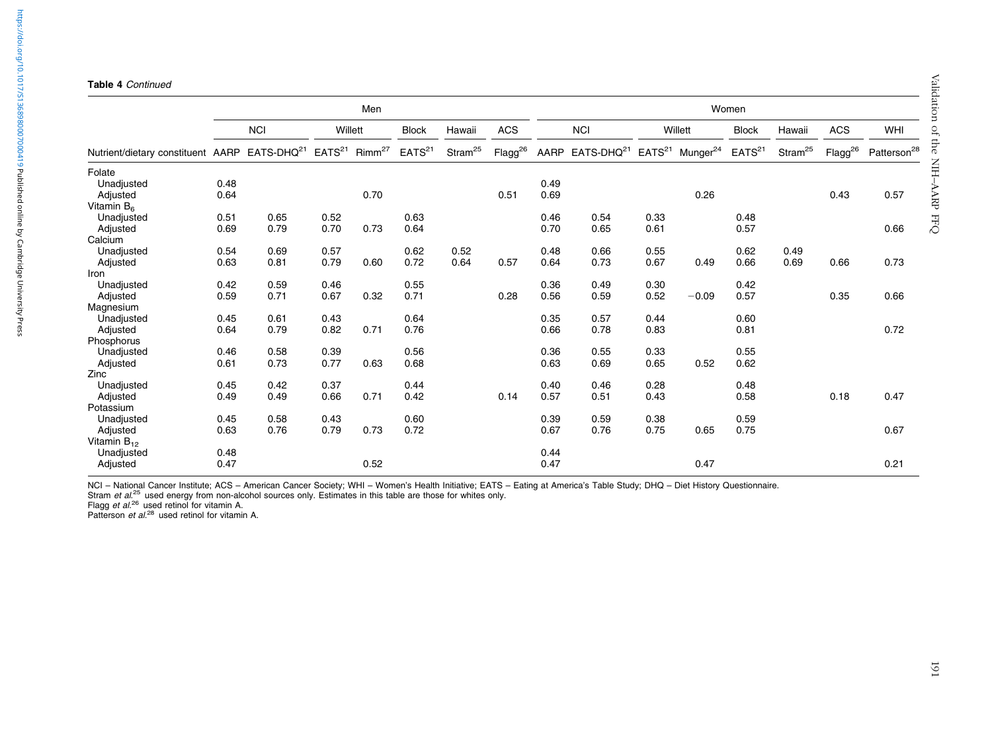#### Table 4 Continued

|                                   |      |                        |                    | Men                     |                    |                     |                     | Women      |                        |                    |                      |                    |                     |                     |                         |
|-----------------------------------|------|------------------------|--------------------|-------------------------|--------------------|---------------------|---------------------|------------|------------------------|--------------------|----------------------|--------------------|---------------------|---------------------|-------------------------|
|                                   |      | <b>NCI</b>             |                    | Willett<br><b>Block</b> |                    | Hawaii              | <b>ACS</b>          | <b>NCI</b> |                        | Willett            |                      | <b>Block</b>       | Hawaii              | <b>ACS</b>          | WHI                     |
| Nutrient/dietary constituent AARP |      | EATS-DHQ <sup>21</sup> | EATS <sup>21</sup> | Rimm <sup>27</sup>      | EATS <sup>21</sup> | Stram <sup>25</sup> | Flagg <sup>26</sup> | AARP       | EATS-DHQ <sup>21</sup> | EATS <sup>21</sup> | Munger <sup>24</sup> | EATS <sup>21</sup> | Stram <sup>25</sup> | Flagg <sup>26</sup> | Patterson <sup>28</sup> |
| Folate                            |      |                        |                    |                         |                    |                     |                     |            |                        |                    |                      |                    |                     |                     |                         |
| Unadjusted                        | 0.48 |                        |                    |                         |                    |                     |                     | 0.49       |                        |                    |                      |                    |                     |                     |                         |
| Adjusted                          | 0.64 |                        |                    | 0.70                    |                    |                     | 0.51                | 0.69       |                        |                    | 0.26                 |                    |                     | 0.43                | 0.57                    |
| Vitamin $B_{\epsilon}$            |      |                        |                    |                         |                    |                     |                     |            |                        |                    |                      |                    |                     |                     |                         |
| Unadjusted                        | 0.51 | 0.65                   | 0.52               |                         | 0.63               |                     |                     | 0.46       | 0.54                   | 0.33               |                      | 0.48               |                     |                     |                         |
| Adjusted                          | 0.69 | 0.79                   | 0.70               | 0.73                    | 0.64               |                     |                     | 0.70       | 0.65                   | 0.61               |                      | 0.57               |                     |                     | 0.66                    |
| Calcium                           |      |                        |                    |                         |                    |                     |                     |            |                        |                    |                      |                    |                     |                     |                         |
| Unadjusted                        | 0.54 | 0.69                   | 0.57               |                         | 0.62               | 0.52                |                     | 0.48       | 0.66                   | 0.55               |                      | 0.62               | 0.49                |                     |                         |
| Adjusted                          | 0.63 | 0.81                   | 0.79               | 0.60                    | 0.72               | 0.64                | 0.57                | 0.64       | 0.73                   | 0.67               | 0.49                 | 0.66               | 0.69                | 0.66                | 0.73                    |
| Iron                              |      |                        |                    |                         |                    |                     |                     |            |                        |                    |                      |                    |                     |                     |                         |
| Unadjusted                        | 0.42 | 0.59                   | 0.46               |                         | 0.55               |                     |                     | 0.36       | 0.49                   | 0.30               |                      | 0.42               |                     |                     |                         |
| Adjusted                          | 0.59 | 0.71                   | 0.67               | 0.32                    | 0.71               |                     | 0.28                | 0.56       | 0.59                   | 0.52               | $-0.09$              | 0.57               |                     | 0.35                | 0.66                    |
| Magnesium                         |      |                        |                    |                         |                    |                     |                     |            |                        |                    |                      |                    |                     |                     |                         |
| Unadjusted                        | 0.45 | 0.61                   | 0.43               |                         | 0.64               |                     |                     | 0.35       | 0.57                   | 0.44               |                      | 0.60               |                     |                     |                         |
| Adjusted                          | 0.64 | 0.79                   | 0.82               | 0.71                    | 0.76               |                     |                     | 0.66       | 0.78                   | 0.83               |                      | 0.81               |                     |                     | 0.72                    |
| Phosphorus                        |      |                        |                    |                         |                    |                     |                     |            |                        |                    |                      |                    |                     |                     |                         |
| Unadjusted                        | 0.46 | 0.58                   | 0.39               |                         | 0.56               |                     |                     | 0.36       | 0.55                   | 0.33               |                      | 0.55               |                     |                     |                         |
| Adjusted                          | 0.61 | 0.73                   | 0.77               | 0.63                    | 0.68               |                     |                     | 0.63       | 0.69                   | 0.65               | 0.52                 | 0.62               |                     |                     |                         |
| Zinc                              |      |                        |                    |                         |                    |                     |                     |            |                        |                    |                      |                    |                     |                     |                         |
| Unadjusted                        | 0.45 | 0.42                   | 0.37               |                         | 0.44               |                     |                     | 0.40       | 0.46                   | 0.28               |                      | 0.48               |                     |                     |                         |
| Adjusted                          | 0.49 | 0.49                   | 0.66               | 0.71                    | 0.42               |                     | 0.14                | 0.57       | 0.51                   | 0.43               |                      | 0.58               |                     | 0.18                | 0.47                    |
| Potassium                         |      |                        |                    |                         |                    |                     |                     |            |                        |                    |                      |                    |                     |                     |                         |
| Unadjusted                        | 0.45 | 0.58                   | 0.43               |                         | 0.60               |                     |                     | 0.39       | 0.59                   | 0.38               |                      | 0.59               |                     |                     |                         |
| Adjusted                          | 0.63 | 0.76                   | 0.79               | 0.73                    | 0.72               |                     |                     | 0.67       | 0.76                   | 0.75               | 0.65                 | 0.75               |                     |                     | 0.67                    |
| Vitamin $B_{12}$                  |      |                        |                    |                         |                    |                     |                     |            |                        |                    |                      |                    |                     |                     |                         |
| Unadjusted                        | 0.48 |                        |                    |                         |                    |                     |                     | 0.44       |                        |                    |                      |                    |                     |                     |                         |
| Adjusted                          | 0.47 |                        |                    | 0.52                    |                    |                     |                     | 0.47       |                        |                    | 0.47                 |                    |                     |                     | 0.21                    |

NCI – National Cancer Institute; ACS – American Cancer Society; WHI – Women's Health Initiative; EATS – Eating at America's Table Study; DHQ – Diet History Questionnaire.<br>Stram *et al.<sup>25</sup> used energy from non-alcohol sour*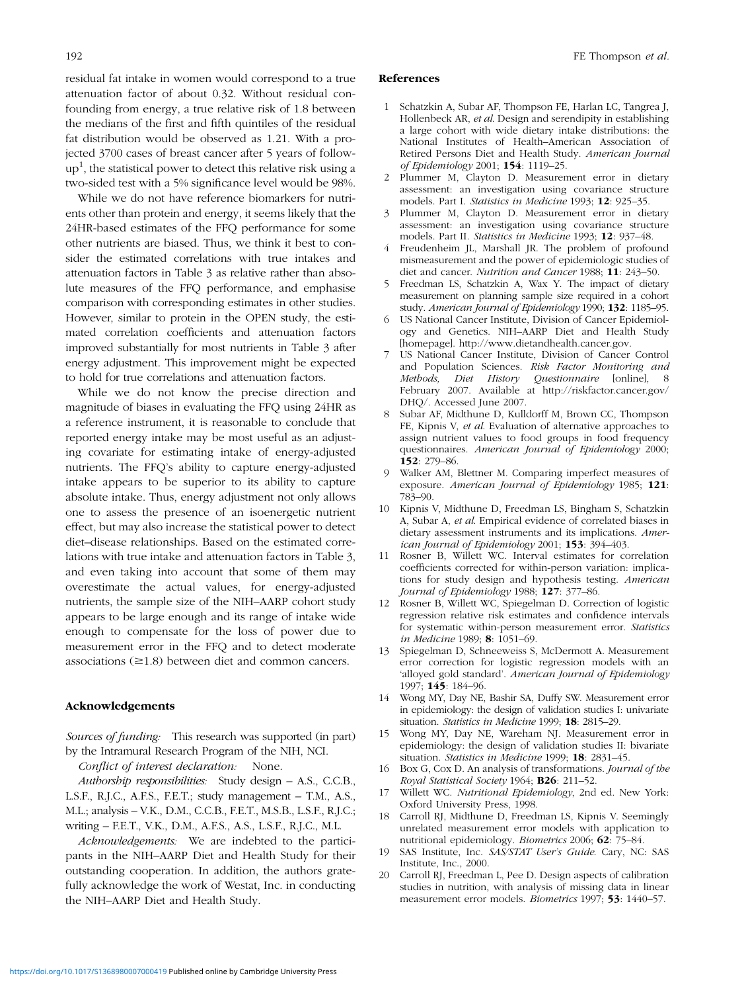residual fat intake in women would correspond to a true attenuation factor of about 0.32. Without residual confounding from energy, a true relative risk of 1.8 between the medians of the first and fifth quintiles of the residual fat distribution would be observed as 1.21. With a projected 3700 cases of breast cancer after 5 years of follow- $\text{up}^1$ , the statistical power to detect this relative risk using a two-sided test with a 5% significance level would be 98%.

While we do not have reference biomarkers for nutrients other than protein and energy, it seems likely that the 24HR-based estimates of the FFQ performance for some other nutrients are biased. Thus, we think it best to consider the estimated correlations with true intakes and attenuation factors in Table 3 as relative rather than absolute measures of the FFQ performance, and emphasise comparison with corresponding estimates in other studies. However, similar to protein in the OPEN study, the estimated correlation coefficients and attenuation factors improved substantially for most nutrients in Table 3 after energy adjustment. This improvement might be expected to hold for true correlations and attenuation factors.

While we do not know the precise direction and magnitude of biases in evaluating the FFQ using 24HR as a reference instrument, it is reasonable to conclude that reported energy intake may be most useful as an adjusting covariate for estimating intake of energy-adjusted nutrients. The FFQ's ability to capture energy-adjusted intake appears to be superior to its ability to capture absolute intake. Thus, energy adjustment not only allows one to assess the presence of an isoenergetic nutrient effect, but may also increase the statistical power to detect diet–disease relationships. Based on the estimated correlations with true intake and attenuation factors in Table 3, and even taking into account that some of them may overestimate the actual values, for energy-adjusted nutrients, the sample size of the NIH–AARP cohort study appears to be large enough and its range of intake wide enough to compensate for the loss of power due to measurement error in the FFQ and to detect moderate associations  $(\geq 1.8)$  between diet and common cancers.

#### Acknowledgements

Sources of funding: This research was supported (in part) by the Intramural Research Program of the NIH, NCI.

Conflict of interest declaration: None.

Authorship responsibilities: Study design – A.S., C.C.B., L.S.F., R.J.C., A.F.S., F.E.T.; study management – T.M., A.S., M.L.; analysis – V.K., D.M., C.C.B., F.E.T., M.S.B., L.S.F., R.J.C.;

writing – F.E.T., V.K., D.M., A.F.S., A.S., L.S.F., R.J.C., M.L.

Acknowledgements: We are indebted to the participants in the NIH–AARP Diet and Health Study for their outstanding cooperation. In addition, the authors gratefully acknowledge the work of Westat, Inc. in conducting the NIH–AARP Diet and Health Study.

#### References

- 1 Schatzkin A, Subar AF, Thompson FE, Harlan LC, Tangrea J, Hollenbeck AR, et al. Design and serendipity in establishing a large cohort with wide dietary intake distributions: the National Institutes of Health–American Association of Retired Persons Diet and Health Study. American Journal of Epidemiology 2001; 154: 1119–25.
- 2 Plummer M, Clayton D. Measurement error in dietary assessment: an investigation using covariance structure models. Part I. Statistics in Medicine 1993; 12: 925–35.
- 3 Plummer M, Clayton D. Measurement error in dietary assessment: an investigation using covariance structure models. Part II. Statistics in Medicine 1993; 12: 937–48.
- 4 Freudenheim JL, Marshall JR. The problem of profound mismeasurement and the power of epidemiologic studies of diet and cancer. Nutrition and Cancer 1988; 11: 243–50.
- 5 Freedman LS, Schatzkin A, Wax Y. The impact of dietary measurement on planning sample size required in a cohort study. American Journal of Epidemiology 1990; 132: 1185-95.
- 6 US National Cancer Institute, Division of Cancer Epidemiology and Genetics. NIH–AARP Diet and Health Study [homepage]. http://www.dietandhealth.cancer.gov.
- US National Cancer Institute, Division of Cancer Control and Population Sciences. Risk Factor Monitoring and Methods, Diet History Questionnaire [online], 8 February 2007. Available at http://riskfactor.cancer.gov/ DHQ/. Accessed June 2007.
- Subar AF, Midthune D, Kulldorff M, Brown CC, Thompson FE, Kipnis V, et al. Evaluation of alternative approaches to assign nutrient values to food groups in food frequency questionnaires. American Journal of Epidemiology 2000; 152: 279–86.
- 9 Walker AM, Blettner M. Comparing imperfect measures of exposure. American Journal of Epidemiology 1985; 121: 783–90.
- 10 Kipnis V, Midthune D, Freedman LS, Bingham S, Schatzkin A, Subar A, et al. Empirical evidence of correlated biases in dietary assessment instruments and its implications. American Journal of Epidemiology 2001; 153: 394–403.
- 11 Rosner B, Willett WC. Interval estimates for correlation coefficients corrected for within-person variation: implications for study design and hypothesis testing. American Journal of Epidemiology 1988; 127: 377–86.
- 12 Rosner B, Willett WC, Spiegelman D. Correction of logistic regression relative risk estimates and confidence intervals for systematic within-person measurement error. Statistics in Medicine 1989; 8: 1051–69.
- 13 Spiegelman D, Schneeweiss S, McDermott A. Measurement error correction for logistic regression models with an 'alloyed gold standard'. American Journal of Epidemiology 1997; 145: 184–96.
- 14 Wong MY, Day NE, Bashir SA, Duffy SW. Measurement error in epidemiology: the design of validation studies I: univariate situation. Statistics in Medicine 1999; 18: 2815-29.
- 15 Wong MY, Day NE, Wareham NJ. Measurement error in epidemiology: the design of validation studies II: bivariate situation. Statistics in Medicine 1999; 18: 2831-45.
- 16 Box G, Cox D. An analysis of transformations. Journal of the Royal Statistical Society 1964; B26: 211–52.
- 17 Willett WC. Nutritional Epidemiology, 2nd ed. New York: Oxford University Press, 1998.
- Carroll RJ, Midthune D, Freedman LS, Kipnis V. Seemingly unrelated measurement error models with application to nutritional epidemiology. Biometrics 2006; 62: 75–84.
- 19 SAS Institute, Inc. SAS/STAT User's Guide. Cary, NC: SAS Institute, Inc., 2000.
- 20 Carroll RJ, Freedman L, Pee D. Design aspects of calibration studies in nutrition, with analysis of missing data in linear measurement error models. Biometrics 1997; 53: 1440–57.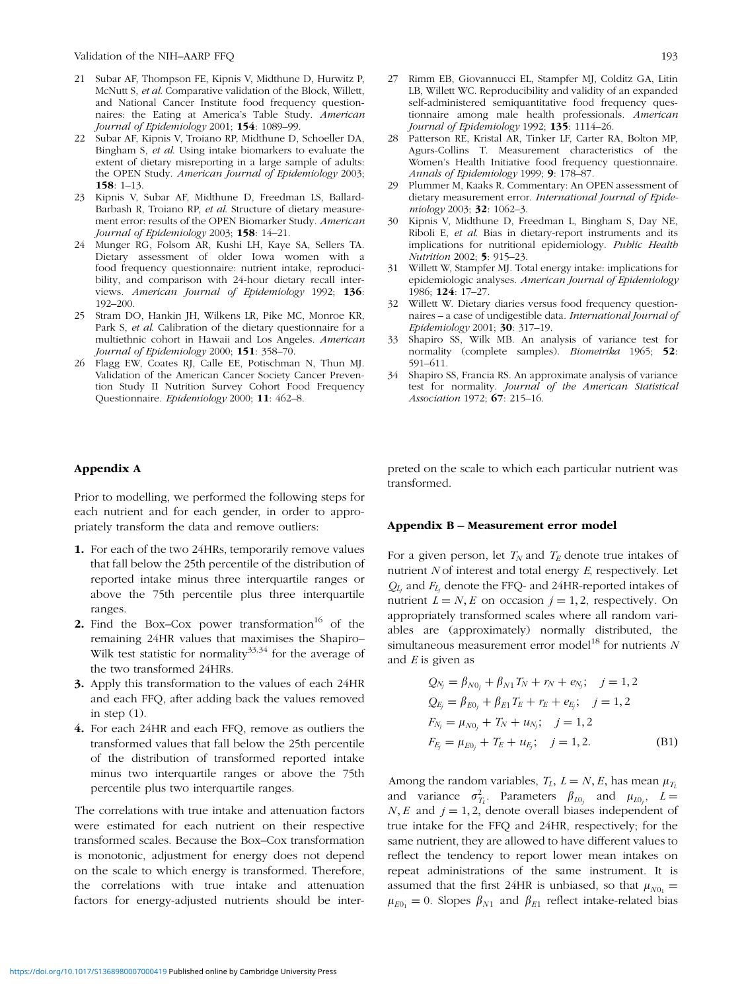- 21 Subar AF, Thompson FE, Kipnis V, Midthune D, Hurwitz P, McNutt S, et al. Comparative validation of the Block, Willett, and National Cancer Institute food frequency questionnaires: the Eating at America's Table Study. American Journal of Epidemiology 2001; 154: 1089–99.
- 22 Subar AF, Kipnis V, Troiano RP, Midthune D, Schoeller DA, Bingham S, et al. Using intake biomarkers to evaluate the extent of dietary misreporting in a large sample of adults: the OPEN Study. American Journal of Epidemiology 2003; 158: 1–13.
- 23 Kipnis V, Subar AF, Midthune D, Freedman LS, Ballard-Barbash R, Troiano RP, et al. Structure of dietary measurement error: results of the OPEN Biomarker Study. American Journal of Epidemiology 2003; 158: 14-21.
- 24 Munger RG, Folsom AR, Kushi LH, Kaye SA, Sellers TA. Dietary assessment of older Iowa women with a food frequency questionnaire: nutrient intake, reproducibility, and comparison with 24-hour dietary recall interviews. American Journal of Epidemiology 1992; 136: 192–200.
- 25 Stram DO, Hankin JH, Wilkens LR, Pike MC, Monroe KR, Park S, et al. Calibration of the dietary questionnaire for a multiethnic cohort in Hawaii and Los Angeles. American Journal of Epidemiology 2000; 151: 358-70.
- 26 Flagg EW, Coates RJ, Calle EE, Potischman N, Thun MJ. Validation of the American Cancer Society Cancer Prevention Study II Nutrition Survey Cohort Food Frequency Questionnaire. Epidemiology 2000; 11: 462–8.

# Appendix A

Prior to modelling, we performed the following steps for each nutrient and for each gender, in order to appropriately transform the data and remove outliers:

- 1. For each of the two 24HRs, temporarily remove values that fall below the 25th percentile of the distribution of reported intake minus three interquartile ranges or above the 75th percentile plus three interquartile ranges.
- **2.** Find the Box–Cox power transformation<sup>16</sup> of the remaining 24HR values that maximises the Shapiro– Wilk test statistic for normality<sup>33,34</sup> for the average of the two transformed 24HRs.
- 3. Apply this transformation to the values of each 24HR and each FFQ, after adding back the values removed in step  $(1)$ .
- 4. For each 24HR and each FFQ, remove as outliers the transformed values that fall below the 25th percentile of the distribution of transformed reported intake minus two interquartile ranges or above the 75th percentile plus two interquartile ranges.

The correlations with true intake and attenuation factors were estimated for each nutrient on their respective transformed scales. Because the Box–Cox transformation is monotonic, adjustment for energy does not depend on the scale to which energy is transformed. Therefore, the correlations with true intake and attenuation factors for energy-adjusted nutrients should be inter-

- 27 Rimm EB, Giovannucci EL, Stampfer MJ, Colditz GA, Litin LB, Willett WC. Reproducibility and validity of an expanded self-administered semiquantitative food frequency questionnaire among male health professionals. American Journal of Epidemiology 1992; 135: 1114-26.
- 28 Patterson RE, Kristal AR, Tinker LF, Carter RA, Bolton MP, Agurs-Collins T. Measurement characteristics of the Women's Health Initiative food frequency questionnaire. Annals of Epidemiology 1999; 9: 178-87.
- 29 Plummer M, Kaaks R. Commentary: An OPEN assessment of dietary measurement error. International Journal of Epidemiology 2003; 32: 1062–3.
- 30 Kipnis V, Midthune D, Freedman L, Bingham S, Day NE, Riboli E, et al. Bias in dietary-report instruments and its implications for nutritional epidemiology. Public Health Nutrition 2002; 5: 915–23.
- 31 Willett W, Stampfer MJ. Total energy intake: implications for epidemiologic analyses. American Journal of Epidemiology 1986; 124: 17–27.
- 32 Willett W. Dietary diaries versus food frequency questionnaires – a case of undigestible data. International Journal of Epidemiology 2001; 30: 317–19.
- 33 Shapiro SS, Wilk MB. An analysis of variance test for normality (complete samples). Biometrika 1965; 52: 591–611.
- 34 Shapiro SS, Francia RS. An approximate analysis of variance test for normality. Journal of the American Statistical Association 1972; 67: 215–16.

preted on the scale to which each particular nutrient was transformed.

### Appendix B – Measurement error model

For a given person, let  $T_N$  and  $T_E$  denote true intakes of nutrient  $N$  of interest and total energy  $E$ , respectively. Let  $Q_L$  and  $F_L$  denote the FFQ- and 24HR-reported intakes of nutrient  $L = N$ , E on occasion  $j = 1, 2$ , respectively. On appropriately transformed scales where all random variables are (approximately) normally distributed, the simultaneous measurement error model<sup>18</sup> for nutrients  $N$ and  $E$  is given as

$$
Q_{N_j} = \beta_{N0_j} + \beta_{N1} T_N + r_N + e_{N_j}; \quad j = 1, 2
$$
  
\n
$$
Q_{E_j} = \beta_{E0_j} + \beta_{E1} T_E + r_E + e_{E_j}; \quad j = 1, 2
$$
  
\n
$$
F_{N_j} = \mu_{N0_j} + T_N + u_{N_j}; \quad j = 1, 2
$$
  
\n
$$
F_{E_j} = \mu_{E0_j} + T_E + u_{E_j}; \quad j = 1, 2.
$$
 (B1)

Among the random variables,  $T_L$ ,  $L = N$ ,  $E$ , has mean  $\mu_{T_L}$ and variance  $\sigma_{T_L}^2$ . Parameters  $\beta_{L0_j}$  and  $\mu_{L0_j}$ ,  $L =$  $N, E$  and  $j = 1, 2$ , denote overall biases independent of true intake for the FFQ and 24HR, respectively; for the same nutrient, they are allowed to have different values to reflect the tendency to report lower mean intakes on repeat administrations of the same instrument. It is assumed that the first 24HR is unbiased, so that  $\mu_{N0_1} =$  $\mu_{E0_1} = 0$ . Slopes  $\beta_{N1}$  and  $\beta_{E1}$  reflect intake-related bias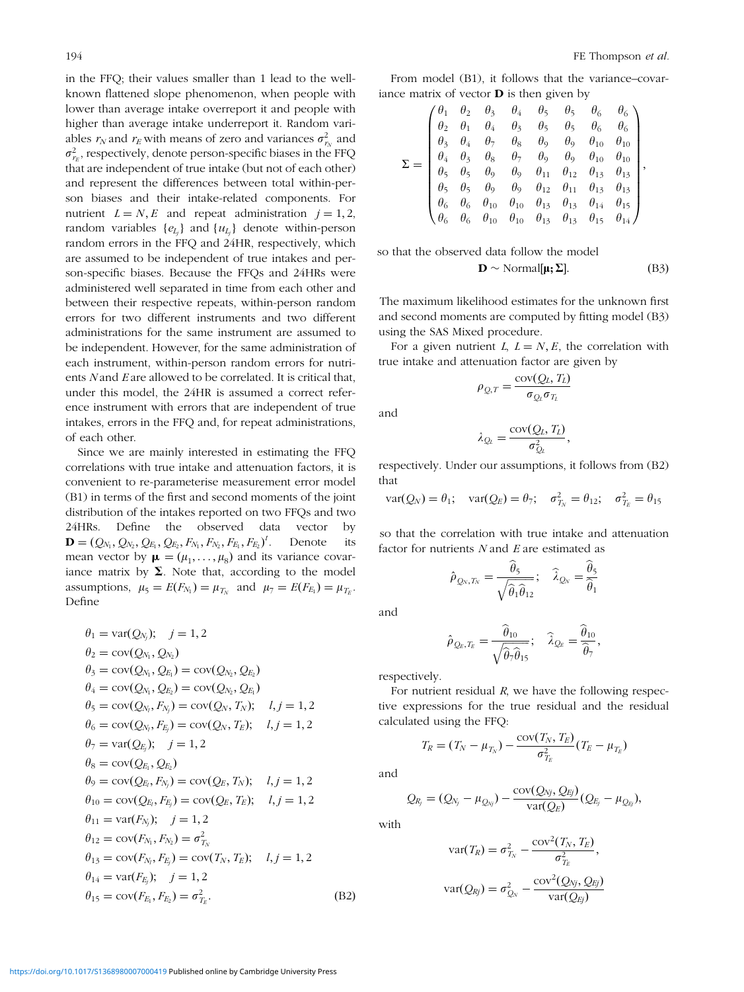in the FFQ; their values smaller than 1 lead to the wellknown flattened slope phenomenon, when people with lower than average intake overreport it and people with higher than average intake underreport it. Random variables  $r_N$  and  $r_E$  with means of zero and variances  $\sigma_{r_N}^2$  and  $\sigma_{r_E}^2$ , respectively, denote person-specific biases in the FFQ that are independent of true intake (but not of each other) and represent the differences between total within-person biases and their intake-related components. For nutrient  $L = N$ , E and repeat administration  $j = 1, 2$ , random variables  $\{e_L\}$  and  $\{u_L\}$  denote within-person random errors in the FFQ and 24HR, respectively, which are assumed to be independent of true intakes and person-specific biases. Because the FFQs and 24HRs were administered well separated in time from each other and between their respective repeats, within-person random errors for two different instruments and two different administrations for the same instrument are assumed to be independent. However, for the same administration of each instrument, within-person random errors for nutrients N and E are allowed to be correlated. It is critical that, under this model, the 24HR is assumed a correct reference instrument with errors that are independent of true intakes, errors in the FFQ and, for repeat administrations, of each other.

Since we are mainly interested in estimating the FFQ correlations with true intake and attenuation factors, it is convenient to re-parameterise measurement error model (B1) in terms of the first and second moments of the joint distribution of the intakes reported on two FFQs and two 24HRs. Define the observed data vector by  $\mathbf{D} = (Q_{N_1}, Q_{N_2}, Q_{E_1}, Q_{E_2}, F_{N_1}, F_{N_2}, F_{E_1}, F_{E_2})^T$ Denote its mean vector by  $\mathbf{\mu} = (\mu_1, \dots, \mu_8)$  and its variance covariance matrix by  $\Sigma$ . Note that, according to the model assumptions,  $\mu_5 = E(F_{N_1}) = \mu_{T_N}$  and  $\mu_7 = E(F_{E_1}) = \mu_{T_F}$ . Define

$$
\theta_1 = \text{var}(Q_{N_j}); \quad j = 1, 2
$$
\n
$$
\theta_2 = \text{cov}(Q_{N_1}, Q_{N_2})
$$
\n
$$
\theta_3 = \text{cov}(Q_{N_1}, Q_{E_1}) = \text{cov}(Q_{N_2}, Q_{E_2})
$$
\n
$$
\theta_4 = \text{cov}(Q_{N_1}, Q_{E_2}) = \text{cov}(Q_{N_2}, Q_{E_1})
$$
\n
$$
\theta_5 = \text{cov}(Q_{N_1}, F_{N_j}) = \text{cov}(Q_{N_1}, T_N); \quad l, j = 1, 2
$$
\n
$$
\theta_6 = \text{cov}(Q_{N_1}, F_{E_j}) = \text{cov}(Q_N, T_E); \quad l, j = 1, 2
$$
\n
$$
\theta_7 = \text{var}(Q_{E_j}); \quad j = 1, 2
$$
\n
$$
\theta_8 = \text{cov}(Q_{E_1}, Q_{E_2})
$$
\n
$$
\theta_9 = \text{cov}(Q_{E_1}, F_{N_j}) = \text{cov}(Q_E, T_N); \quad l, j = 1, 2
$$
\n
$$
\theta_{10} = \text{cov}(Q_{E_1}, F_{E_j}) = \text{cov}(Q_E, T_E); \quad l, j = 1, 2
$$
\n
$$
\theta_{11} = \text{var}(F_{N_j}); \quad j = 1, 2
$$
\n
$$
\theta_{12} = \text{cov}(F_{N_1}, F_{N_2}) = \sigma_{T_N}^2
$$
\n
$$
\theta_{13} = \text{cov}(F_{N_1}, F_{E_j}) = \text{cov}(T_N, T_E); \quad l, j = 1, 2
$$
\n
$$
\theta_{14} = \text{var}(F_{E_j}); \quad j = 1, 2
$$
\n
$$
\theta_{15} = \text{cov}(F_{E_1}, F_{E_2}) = \sigma_{T_E}^2.
$$
\n(B2)

From model (B1), it follows that the variance–covariance matrix of vector  **is then given by** 

$$
\Sigma = \begin{pmatrix}\n\theta_1 & \theta_2 & \theta_3 & \theta_4 & \theta_5 & \theta_5 & \theta_6 & \theta_6 \\
\theta_2 & \theta_1 & \theta_4 & \theta_3 & \theta_5 & \theta_5 & \theta_6 & \theta_6 \\
\theta_3 & \theta_4 & \theta_7 & \theta_8 & \theta_9 & \theta_9 & \theta_{10} & \theta_{10} \\
\theta_4 & \theta_3 & \theta_8 & \theta_7 & \theta_9 & \theta_9 & \theta_{10} & \theta_{10} \\
\theta_5 & \theta_5 & \theta_9 & \theta_9 & \theta_{11} & \theta_{12} & \theta_{13} & \theta_{13} \\
\theta_5 & \theta_5 & \theta_9 & \theta_9 & \theta_{12} & \theta_{11} & \theta_{13} & \theta_{13} \\
\theta_6 & \theta_6 & \theta_{10} & \theta_{10} & \theta_{13} & \theta_{13} & \theta_{14} & \theta_{15} \\
\theta_6 & \theta_6 & \theta_{10} & \theta_{10} & \theta_{13} & \theta_{13} & \theta_{15} & \theta_{14}\n\end{pmatrix},
$$

so that the observed data follow the model

$$
\mathbf{D} \sim \text{Normal}[\mathbf{\mu}; \Sigma]. \tag{B3}
$$

The maximum likelihood estimates for the unknown first and second moments are computed by fitting model (B3) using the SAS Mixed procedure.

For a given nutrient L,  $L = N$ , E, the correlation with true intake and attenuation factor are given by

$$
\rho_{Q,T} = \frac{\text{cov}(Q_L, T_L)}{\sigma_{Q_L} \sigma_{T_L}}
$$

and

$$
\lambda_{Q_L} = \frac{\mathrm{cov}(Q_L, T_L)}{\sigma_{Q_L}^2},
$$

respectively. Under our assumptions, it follows from (B2) that

$$
\text{var}(Q_N) = \theta_1; \quad \text{var}(Q_E) = \theta_7; \quad \sigma^2_{T_N} = \theta_{12}; \quad \sigma^2_{T_E} = \theta_{15}
$$

so that the correlation with true intake and attenuation factor for nutrients  $N$  and  $E$  are estimated as

$$
\hat{\rho}_{Q_N,T_N} = \frac{\widehat{\theta}_5}{\sqrt{\widehat{\theta}_1 \widehat{\theta}_{12}}}; \quad \widehat{\lambda}_{Q_N} = \frac{\widehat{\theta}_5}{\widehat{\theta}_1}
$$

and

$$
\hat{\rho}_{Q_E,T_E} = \frac{\widehat{\theta}_{10}}{\sqrt{\widehat{\theta}_{7}\widehat{\theta}_{15}}}; \quad \widehat{\lambda}_{Q_E} = \frac{\widehat{\theta}_{10}}{\widehat{\theta}_{7}},
$$

respectively.

For nutrient residual  $R$ , we have the following respective expressions for the true residual and the residual calculated using the FFQ:

$$
T_R = (T_N - \mu_{T_N}) - \frac{\text{cov}(T_N, T_E)}{\sigma_{T_E}^2} (T_E - \mu_{T_E})
$$

and

$$
Q_{R_j} = (Q_{N_j} - \mu_{Q_{N_j}}) - \frac{\text{cov}(Q_{N_j}, Q_{Ej})}{\text{var}(Q_E)} (Q_{E_j} - \mu_{Q_{Ej}}),
$$

with

$$
var(T_R) = \sigma_{T_N}^2 - \frac{cov^2(T_N, T_E)}{\sigma_{T_E}^2},
$$

$$
var(Q_{Rj}) = \sigma_{Q_N}^2 - \frac{cov^2(Q_{Nj}, Q_{Ej})}{var(Q_{Ej})}
$$